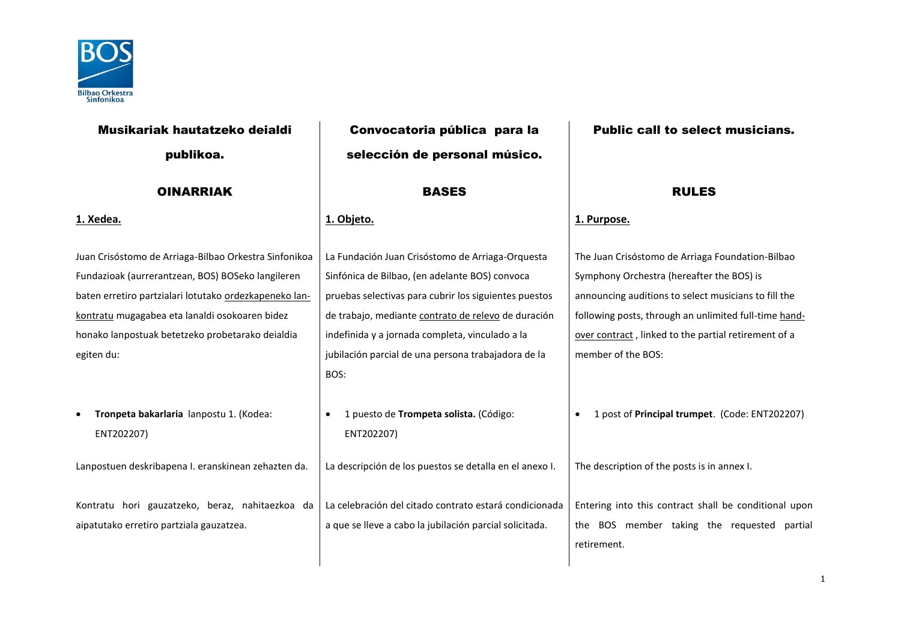

| Musikariak hautatzeko deialdi                                                                                                                                                                                                                                                            | Convocatoria pública para la                                                                                                                                                                                                                                                                                                         | <b>Public call to select musicians.</b>                                                                                                                                                                                                                                                      |  |  |
|------------------------------------------------------------------------------------------------------------------------------------------------------------------------------------------------------------------------------------------------------------------------------------------|--------------------------------------------------------------------------------------------------------------------------------------------------------------------------------------------------------------------------------------------------------------------------------------------------------------------------------------|----------------------------------------------------------------------------------------------------------------------------------------------------------------------------------------------------------------------------------------------------------------------------------------------|--|--|
| publikoa.                                                                                                                                                                                                                                                                                | selección de personal músico.                                                                                                                                                                                                                                                                                                        |                                                                                                                                                                                                                                                                                              |  |  |
| <b>OINARRIAK</b>                                                                                                                                                                                                                                                                         | <b>BASES</b>                                                                                                                                                                                                                                                                                                                         | <b>RULES</b>                                                                                                                                                                                                                                                                                 |  |  |
| 1. Xedea.                                                                                                                                                                                                                                                                                | 1. Objeto.                                                                                                                                                                                                                                                                                                                           | 1. Purpose.                                                                                                                                                                                                                                                                                  |  |  |
| Juan Crisóstomo de Arriaga-Bilbao Orkestra Sinfonikoa<br>Fundazioak (aurrerantzean, BOS) BOSeko langileren<br>baten erretiro partzialari lotutako ordezkapeneko lan-<br>kontratu mugagabea eta lanaldi osokoaren bidez<br>honako lanpostuak betetzeko probetarako deialdia<br>egiten du: | La Fundación Juan Crisóstomo de Arriaga-Orquesta<br>Sinfónica de Bilbao, (en adelante BOS) convoca<br>pruebas selectivas para cubrir los siguientes puestos<br>de trabajo, mediante contrato de relevo de duración<br>indefinida y a jornada completa, vinculado a la<br>jubilación parcial de una persona trabajadora de la<br>BOS: | The Juan Crisóstomo de Arriaga Foundation-Bilbao<br>Symphony Orchestra (hereafter the BOS) is<br>announcing auditions to select musicians to fill the<br>following posts, through an unlimited full-time hand-<br>over contract, linked to the partial retirement of a<br>member of the BOS: |  |  |
| Tronpeta bakarlaria lanpostu 1. (Kodea:<br>ENT202207)                                                                                                                                                                                                                                    | 1 puesto de Trompeta solista. (Código:<br>$\bullet$<br>ENT202207)                                                                                                                                                                                                                                                                    | 1 post of Principal trumpet. (Code: ENT202207)                                                                                                                                                                                                                                               |  |  |
| Lanpostuen deskribapena I. eranskinean zehazten da.                                                                                                                                                                                                                                      | La descripción de los puestos se detalla en el anexo I.                                                                                                                                                                                                                                                                              | The description of the posts is in annex I.                                                                                                                                                                                                                                                  |  |  |
| Kontratu hori gauzatzeko, beraz, nahitaezkoa da<br>aipatutako erretiro partziala gauzatzea.                                                                                                                                                                                              | La celebración del citado contrato estará condicionada<br>a que se lleve a cabo la jubilación parcial solicitada.                                                                                                                                                                                                                    | Entering into this contract shall be conditional upon<br>the BOS member taking the requested partial<br>retirement.                                                                                                                                                                          |  |  |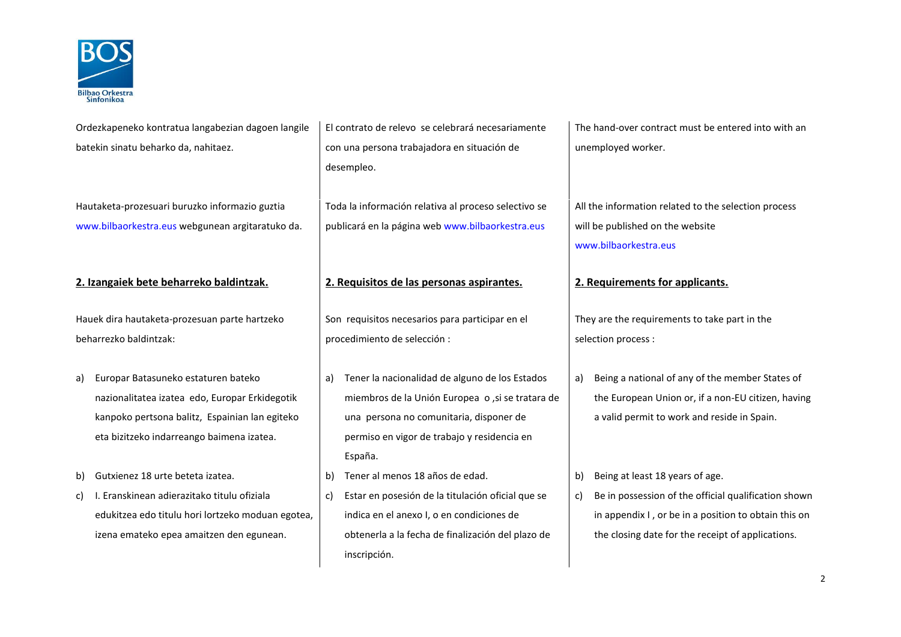

| Ordezkapeneko kontratua langabezian dagoen langile |  |
|----------------------------------------------------|--|
| batekin sinatu beharko da. nahitaez.               |  |

Hautaketa-prozesuari buruzko informazio guztia [www.bilbaorkestra.eus](http://www.bilbaorkestra.eus/) webgunean argitaratuko da.

## **2. Izangaiek bete beharreko baldintzak. 2. Requisitos de las personas aspirantes. 2. Requirements for applicants.**

Hauek dira hautaketa-prozesuan parte hartzeko beharrezko baldintzak:

- a) Europar Batasuneko estaturen bateko nazionalitatea izatea edo, Europar Erkidegotik kanpoko pertsona balitz, 
Espainian lan egiteko eta bizitzeko indarreango baimena izatea.
- b) Gutxienez 18 urte beteta izatea. b) Tener al menos 18 años de edad. | b) Being at least 18 years of age.
- c) I. Eranskinean adierazitako titulu ofiziala edukitzea edo titulu hori lortzeko moduan egotea, izena emateko epea amaitzen den egunean.

El contrato de relevo se celebrará necesariamente con una persona trabajadora en situación de desempleo.

Toda la información relativa al proceso selectivo se publicará en la página web [www.bilbaorkestra.eus](http://www.bilbaorkestra.eus/)

Son requisitos necesarios para participar en el procedimiento de selección :

- a) Tener la nacionalidad de alguno de los Estados miembros de la Unión Europea o ,si se tratara de una persona no comunitaria, disponer de permiso en vigor de trabajo y residencia en España.
- 
- c) Estar en posesión de la titulación oficial que se indica en el anexo I, o en condiciones de obtenerla a la fecha de finalización del plazo de inscripción.

The hand-over contract must be entered into with an unemployed worker.

All the information related to the selection process will be published on the website [www.bilbaorkestra.eus](http://www.bilbaorkestra.eus/)

They are the requirements to take part in the selection process :

- a) Being a national of any of the member States of the European Union or, if a non-EU citizen, having a valid permit to work and reside in Spain.
- 
- c) Be in possession of the official qualification shown in appendix I , or be in a position to obtain this on the closing date for the receipt of applications.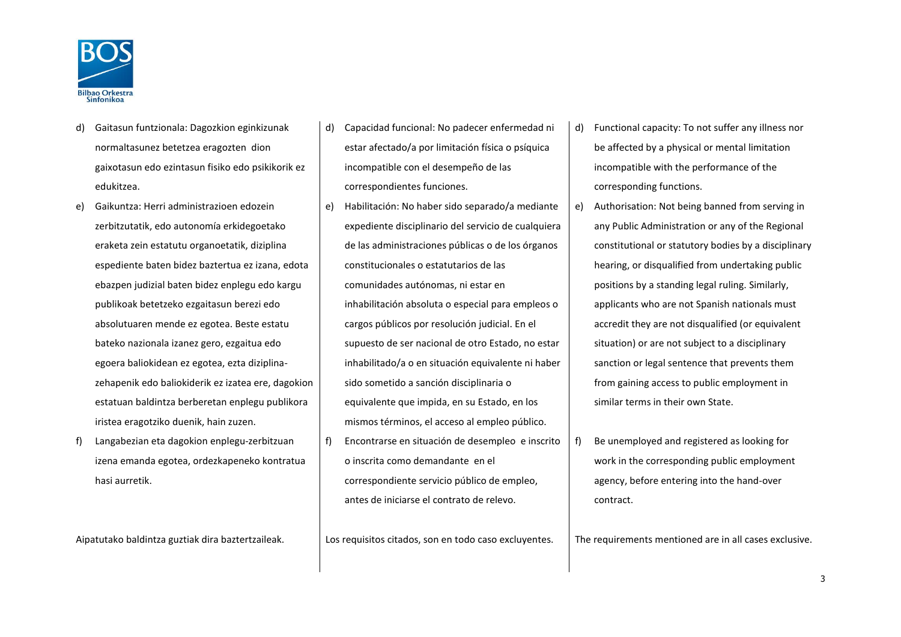

- d) Gaitasun funtzionala: Dagozkion eginkizunak normaltasunez betetzea eragozten dion gaixotasun edo ezintasun fisiko edo psikikorik ez edukitzea.
- e) Gaikuntza: Herri administrazioen edozein zerbitzutatik, edo autonomía erkidegoetako eraketa zein estatutu organoetatik, diziplina espediente baten bidez baztertua ez izana, edota ebazpen judizial baten bidez enplegu edo kargu publikoak betetzeko ezgaitasun berezi edo absolutuaren mende ez egotea. Beste estatu bateko nazionala izanez gero, ezgaitua edo egoera baliokidean ez egotea, ezta diziplinazehapenik edo baliokiderik ez izatea ere, dagokion estatuan baldintza berberetan enplegu publikora iristea eragotziko duenik, hain zuzen.
- f) Langabezian eta dagokion enplegu-zerbitzuan izena emanda egotea, ordezkapeneko kontratua hasi aurretik.

- d) Capacidad funcional: No padecer enfermedad ni estar afectado/a por limitación física o psíquica incompatible con el desempeño de las correspondientes funciones.
- e) Habilitación: No haber sido separado/a mediante expediente disciplinario del servicio de cualquiera de las administraciones públicas o de los órganos constitucionales o estatutarios de las comunidades autónomas, ni estar en inhabilitación absoluta o especial para empleos o cargos públicos por resolución judicial. En el supuesto de ser nacional de otro Estado, no estar inhabilitado/a o en situación equivalente ni haber sido sometido a sanción disciplinaria o equivalente que impida, en su Estado, en los mismos términos, el acceso al empleo público.
- f) Encontrarse en situación de desempleo e inscrito o inscrita como demandante en el correspondiente servicio público de empleo, antes de iniciarse el contrato de relevo.

- d) Functional capacity: To not suffer any illness nor be affected by a physical or mental limitation incompatible with the performance of the corresponding functions.
- e) Authorisation: Not being banned from serving in any Public Administration or any of the Regional constitutional or statutory bodies by a disciplinary hearing, or disqualified from undertaking public positions by a standing legal ruling. Similarly, applicants who are not Spanish nationals must accredit they are not disqualified (or equivalent situation) or are not subject to a disciplinary sanction or legal sentence that prevents them from gaining access to public employment in similar terms in their own State.
- f) Be unemployed and registered as looking for work in the corresponding public employment agency, before entering into the hand-over contract.

Aipatutako baldintza guztiak dira baztertzaileak.  $\Box$  Los requisitos citados, son en todo caso excluyentes. The requirements mentioned are in all cases exclusive.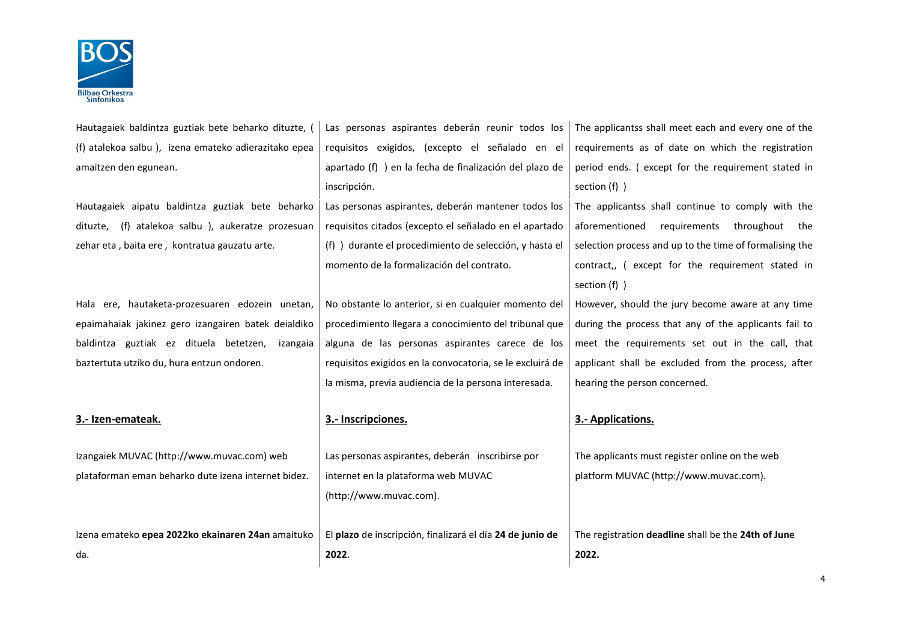

| Hautagaiek baldintza guztiak bete beharko dituzte,   | Las personas aspirantes deberán reunir todos los<br>The applicantss shall meet each and every one of the       |                                                         |  |  |  |  |
|------------------------------------------------------|----------------------------------------------------------------------------------------------------------------|---------------------------------------------------------|--|--|--|--|
| (f) atalekoa salbu), izena emateko adierazitako epea | requisitos exigidos, (excepto el señalado en el                                                                | requirements as of date on which the registration       |  |  |  |  |
| amaitzen den egunean.                                | apartado (f) ) en la fecha de finalización del plazo de                                                        | period ends. (except for the requirement stated in      |  |  |  |  |
|                                                      | inscripción.                                                                                                   | section $(f)$ )                                         |  |  |  |  |
| Hautagaiek aipatu baldintza guztiak bete beharko     | Las personas aspirantes, deberán mantener todos los                                                            | The applicantss shall continue to comply with the       |  |  |  |  |
| (f) atalekoa salbu), aukeratze prozesuan<br>dituzte, | requisitos citados (excepto el señalado en el apartado                                                         | aforementioned<br>requirements throughout<br>the        |  |  |  |  |
| zehar eta, baita ere, kontratua gauzatu arte.        | (f) ) durante el procedimiento de selección, y hasta el                                                        | selection process and up to the time of formalising the |  |  |  |  |
|                                                      | momento de la formalización del contrato.                                                                      | contract,, (except for the requirement stated in        |  |  |  |  |
|                                                      |                                                                                                                | section $(f)$ )                                         |  |  |  |  |
| Hala ere, hautaketa-prozesuaren edozein unetan,      | No obstante lo anterior, si en cualquier momento del                                                           | However, should the jury become aware at any time       |  |  |  |  |
| epaimahaiak jakinez gero izangairen batek deialdiko  | procedimiento llegara a conocimiento del tribunal que<br>during the process that any of the applicants fail to |                                                         |  |  |  |  |
| baldintza guztiak ez dituela betetzen,<br>izangaia   | alguna de las personas aspirantes carece de los<br>meet the requirements set out in the call, that             |                                                         |  |  |  |  |
| baztertuta utziko du, hura entzun ondoren.           | requisitos exigidos en la convocatoria, se le excluirá de                                                      | applicant shall be excluded from the process, after     |  |  |  |  |
|                                                      | la misma, previa audiencia de la persona interesada.                                                           | hearing the person concerned.                           |  |  |  |  |
|                                                      |                                                                                                                |                                                         |  |  |  |  |
| 3.- Izen-emateak.                                    | 3.- Inscripciones.                                                                                             | 3.- Applications.                                       |  |  |  |  |
|                                                      |                                                                                                                |                                                         |  |  |  |  |
| Izangaiek MUVAC (http://www.muvac.com) web           | Las personas aspirantes, deberán inscribirse por                                                               | The applicants must register online on the web          |  |  |  |  |
| plataforman eman beharko dute izena internet bidez.  | internet en la plataforma web MUVAC                                                                            | platform MUVAC (http://www.muvac.com).                  |  |  |  |  |
|                                                      | (http://www.muvac.com).                                                                                        |                                                         |  |  |  |  |
|                                                      |                                                                                                                |                                                         |  |  |  |  |
| Izena emateko epea 2022ko ekainaren 24an amaituko    | El plazo de inscripción, finalizará el día 24 de junio de                                                      | The registration deadline shall be the 24th of June     |  |  |  |  |
| da.                                                  | 2022.                                                                                                          | 2022.                                                   |  |  |  |  |
|                                                      |                                                                                                                |                                                         |  |  |  |  |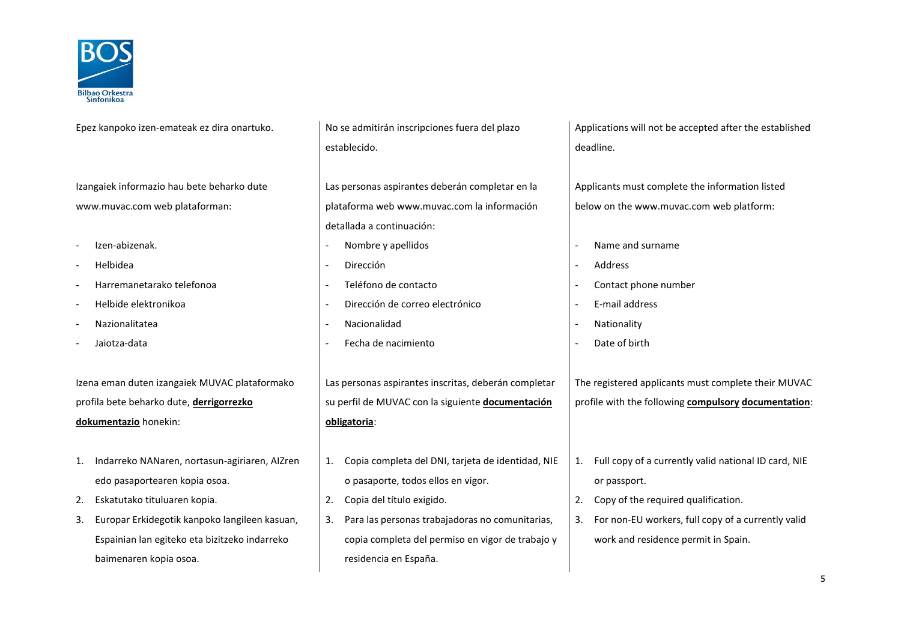

| Epez kanpoko izen-emateak ez dira onartuko.         | No se admitirán inscripciones fuera del plazo           | Applications will not be accepted after the established    |  |
|-----------------------------------------------------|---------------------------------------------------------|------------------------------------------------------------|--|
|                                                     | establecido.                                            | deadline.                                                  |  |
|                                                     |                                                         |                                                            |  |
| Izangaiek informazio hau bete beharko dute          | Las personas aspirantes deberán completar en la         | Applicants must complete the information listed            |  |
| www.muvac.com web plataforman:                      | plataforma web www.muvac.com la información             | below on the www.muvac.com web platform:                   |  |
|                                                     | detallada a continuación:                               |                                                            |  |
| Izen-abizenak.                                      | Nombre y apellidos                                      | Name and surname                                           |  |
| Helbidea                                            | Dirección                                               | Address                                                    |  |
| Harremanetarako telefonoa                           | Teléfono de contacto                                    | Contact phone number                                       |  |
| Helbide elektronikoa                                | Dirección de correo electrónico                         | E-mail address                                             |  |
| Nazionalitatea                                      | Nacionalidad                                            | Nationality<br>$\overline{\phantom{a}}$                    |  |
| Jaiotza-data                                        | Fecha de nacimiento                                     | Date of birth                                              |  |
|                                                     |                                                         |                                                            |  |
| Izena eman duten izangaiek MUVAC plataformako       | Las personas aspirantes inscritas, deberán completar    | The registered applicants must complete their MUVAC        |  |
| profila bete beharko dute, derrigorrezko            | su perfil de MUVAC con la siguiente documentación       | profile with the following compulsory documentation:       |  |
| dokumentazio honekin:                               | obligatoria:                                            |                                                            |  |
|                                                     |                                                         |                                                            |  |
| Indarreko NANaren, nortasun-agiriaren, AlZren       | Copia completa del DNI, tarjeta de identidad, NIE<br>1. | Full copy of a currently valid national ID card, NIE<br>1. |  |
| edo pasaportearen kopia osoa.                       | o pasaporte, todos ellos en vigor.                      | or passport.                                               |  |
| Eskatutako tituluaren kopia.<br>2.                  | Copia del título exigido.<br>2.                         | Copy of the required qualification.<br>2.                  |  |
| Europar Erkidegotik kanpoko langileen kasuan,<br>3. | Para las personas trabajadoras no comunitarias,<br>3.   | For non-EU workers, full copy of a currently valid<br>3.   |  |
| Espainian lan egiteko eta bizitzeko indarreko       | copia completa del permiso en vigor de trabajo y        | work and residence permit in Spain.                        |  |
| baimenaren kopia osoa.                              | residencia en España.                                   |                                                            |  |
|                                                     |                                                         |                                                            |  |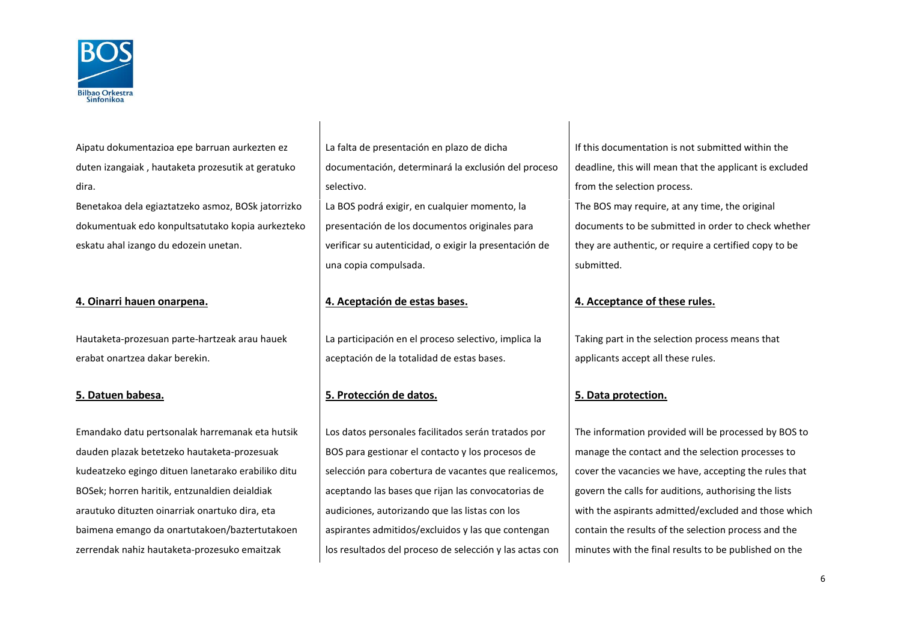

Aipatu dokumentazioa epe barruan aurkezten ez duten izangaiak , hautaketa prozesutik at geratuko dira. Benetakoa dela egiaztatzeko asmoz, BOSk jatorrizko dokumentuak edo konpultsatutako kopia aurkezteko

eskatu ahal izango du edozein unetan.

Hautaketa-prozesuan parte-hartzeak arau hauek erabat onartzea dakar berekin.

Emandako datu pertsonalak harremanak eta hutsik dauden plazak betetzeko hautaketa-prozesuak kudeatzeko egingo dituen lanetarako erabiliko ditu BOSek; horren haritik, entzunaldien deialdiak arautuko dituzten oinarriak onartuko dira, eta baimena emango da onartutakoen/baztertutakoen zerrendak nahiz hautaketa-prozesuko emaitzak

La falta de presentación en plazo de dicha documentación, determinará la exclusión del proceso selectivo. La BOS podrá exigir, en cualquier momento, la presentación de los documentos originales para verificar su autenticidad, o exigir la presentación de una copia compulsada.

# **4. Oinarri hauen onarpena. 4. Aceptación de estas bases. 4. Acceptance of these rules.**

La participación en el proceso selectivo, implica la aceptación de la totalidad de estas bases.

## **5. Datuen babesa. 5. Protección de datos. 5. Data protection.**

Los datos personales facilitados serán tratados por BOS para gestionar el contacto y los procesos de selección para cobertura de vacantes que realicemos, aceptando las bases que rijan las convocatorias de audiciones, autorizando que las listas con los aspirantes admitidos/excluidos y las que contengan los resultados del proceso de selección y las actas con If this documentation is not submitted within the deadline, this will mean that the applicant is excluded from the selection process.

The BOS may require, at any time, the original documents to be submitted in order to check whether they are authentic, or require a certified copy to be submitted.

Taking part in the selection process means that applicants accept all these rules.

The information provided will be processed by BOS to manage the contact and the selection processes to cover the vacancies we have, accepting the rules that govern the calls for auditions, authorising the lists with the aspirants admitted/excluded and those which contain the results of the selection process and the minutes with the final results to be published on the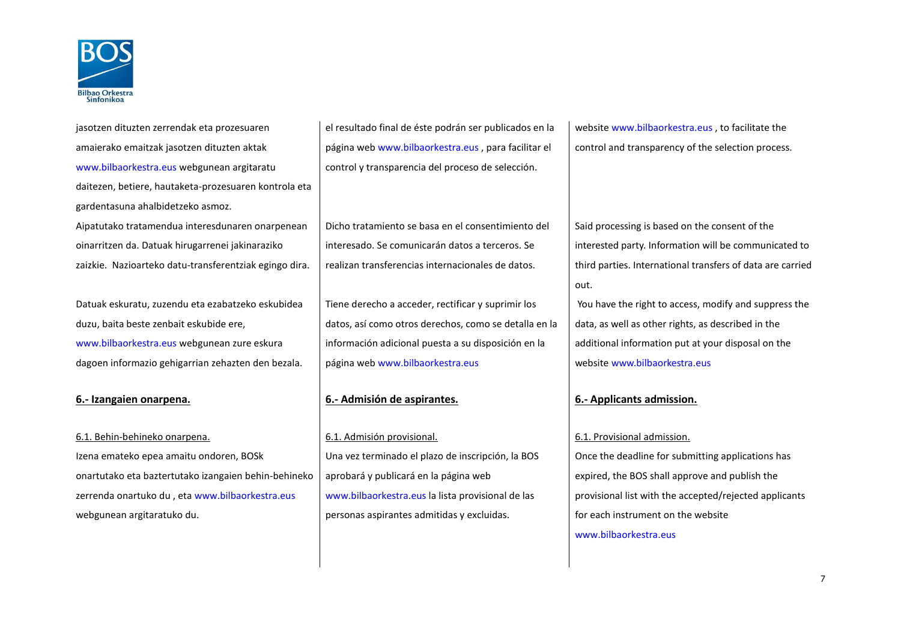

jasotzen dituzten zerrendak eta prozesuaren amaierako emaitzak jasotzen dituzten aktak [www.bilbaorkestra.eus](http://www.bilbaorkestra.eus/) webgunean argitaratu daitezen, betiere, hautaketa-prozesuaren kontrola eta gardentasuna ahalbidetzeko asmoz. Aipatutako tratamendua interesdunaren onarpenean oinarritzen da. Datuak hirugarrenei jakinaraziko zaizkie. Nazioarteko datu-transferentziak egingo dira.

Datuak eskuratu, zuzendu eta ezabatzeko eskubidea duzu, baita beste zenbait eskubide ere, www.bilbaorkestra.eus webgunean zure eskura dagoen informazio gehigarrian zehazten den bezala.

Izena emateko epea amaitu ondoren, BOSk onartutako eta baztertutako izangaien behin-behineko zerrenda onartuko du , et[a www.bilbaorkestra.eus](http://www.bilbaorkestra.eus/) webgunean argitaratuko du.

el resultado final de éste podrán ser publicados en la página web [www.bilbaorkestra.eus](http://www.bilbaorkestra.eus/) , para facilitar el control y transparencia del proceso de selección.

Dicho tratamiento se basa en el consentimiento del interesado. Se comunicarán datos a terceros. Se realizan transferencias internacionales de datos.

Tiene derecho a acceder, rectificar y suprimir los datos, así como otros derechos, como se detalla en la información adicional puesta a su disposición en la página web [www.bilbaorkestra.eus](http://www.bilbaorkestra.eus/)

## **6.- Izangaien onarpena. 6.- Admisión de aspirantes. 6.- Applicants admission.**

6.1. Behin-behineko onarpena. 6.1. Admisión provisional. 6.1. Provisional admission. Una vez terminado el plazo de inscripción, la BOS aprobará y publicará en la página web [www.bilbaorkestra.eus](http://www.bilbaorkestra.eus/) la lista provisional de las personas aspirantes admitidas y excluidas.

website [www.bilbaorkestra.eus](http://www.bilbaorkestra.eus/) , to facilitate the control and transparency of the selection process.

Said processing is based on the consent of the interested party. Information will be communicated to third parties. International transfers of data are carried out.

You have the right to access, modify and suppress the data, as well as other rights, as described in the additional information put at your disposal on the website [www.bilbaorkestra.eus](http://www.bilbaorkestra.eus/)

Once the deadline for submitting applications has expired, the BOS shall approve and publish the provisional list with the accepted/rejected applicants for each instrument on the website [www.bilbaorkestra.eus](http://www.bilbaorkestra.eus/)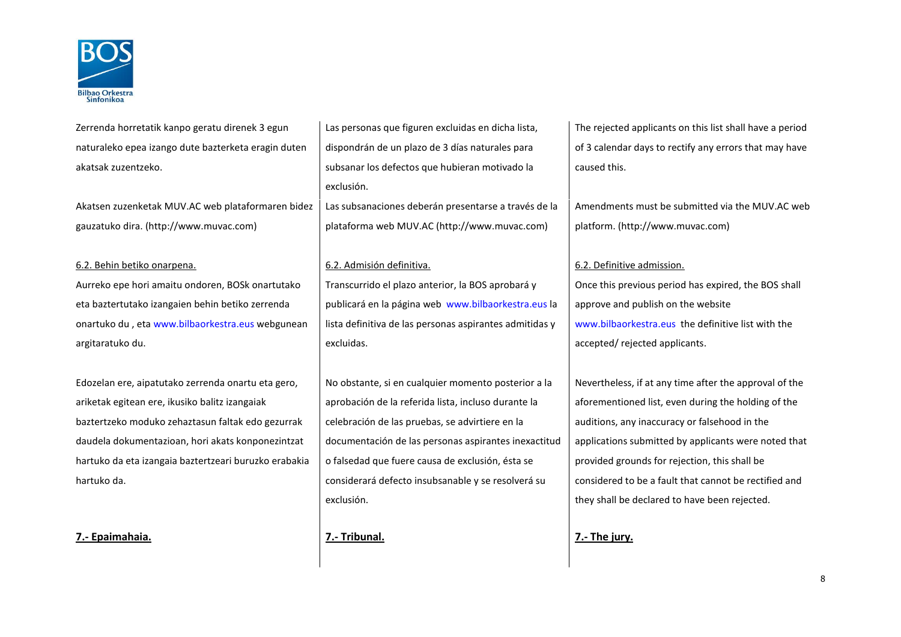

Zerrenda horretatik kanpo geratu direnek 3 egun naturaleko epea izango dute bazterketa eragin duten akatsak zuzentzeko.

Akatsen zuzenketak MUV.AC web plataformaren bidez gauzatuko dira. (http://www.muvac.com)

### 6.2. Behin betiko onarpena. 6.2. Admisión definitiva. 6.2. Definitive admission.

Aurreko epe hori amaitu ondoren, BOSk onartutako eta baztertutako izangaien behin betiko zerrenda onartuko du , eta [www.bilbaorkestra.eus](http://www.bilbaorkestra.eus/) webgunean argitaratuko du.

Edozelan ere, aipatutako zerrenda onartu eta gero, ariketak egitean ere, ikusiko balitz izangaiak baztertzeko moduko zehaztasun faltak edo gezurrak daudela dokumentazioan, hori akats konponezintzat hartuko da eta izangaia baztertzeari buruzko erabakia hartuko da.

**7.- Epaimahaia. 7.- Tribunal. 7.- The jury.**

Las personas que figuren excluidas en dicha lista, dispondrán de un plazo de 3 días naturales para subsanar los defectos que hubieran motivado la exclusión.

Las subsanaciones deberán presentarse a través de la plataforma web MUV.AC (http://www.muvac.com)

Transcurrido el plazo anterior, la BOS aprobará y publicará en la página web [www.bilbaorkestra.eus](http://www.bilbaorkestra.eus/) la lista definitiva de las personas aspirantes admitidas y excluidas.

No obstante, si en cualquier momento posterior a la aprobación de la referida lista, incluso durante la celebración de las pruebas, se advirtiere en la documentación de las personas aspirantes inexactitud o falsedad que fuere causa de exclusión, ésta se considerará defecto insubsanable y se resolverá su exclusión.

The rejected applicants on this list shall have a period of 3 calendar days to rectify any errors that may have caused this.

Amendments must be submitted via the MUV.AC web platform. (http://www.muvac.com)

Once this previous period has expired, the BOS shall approve and publish on the website [www.bilbaorkestra.eus](http://www.bilbaorkestra.eus/) the definitive list with the accepted/ rejected applicants.

Nevertheless, if at any time after the approval of the aforementioned list, even during the holding of the auditions, any inaccuracy or falsehood in the applications submitted by applicants were noted that provided grounds for rejection, this shall be considered to be a fault that cannot be rectified and they shall be declared to have been rejected.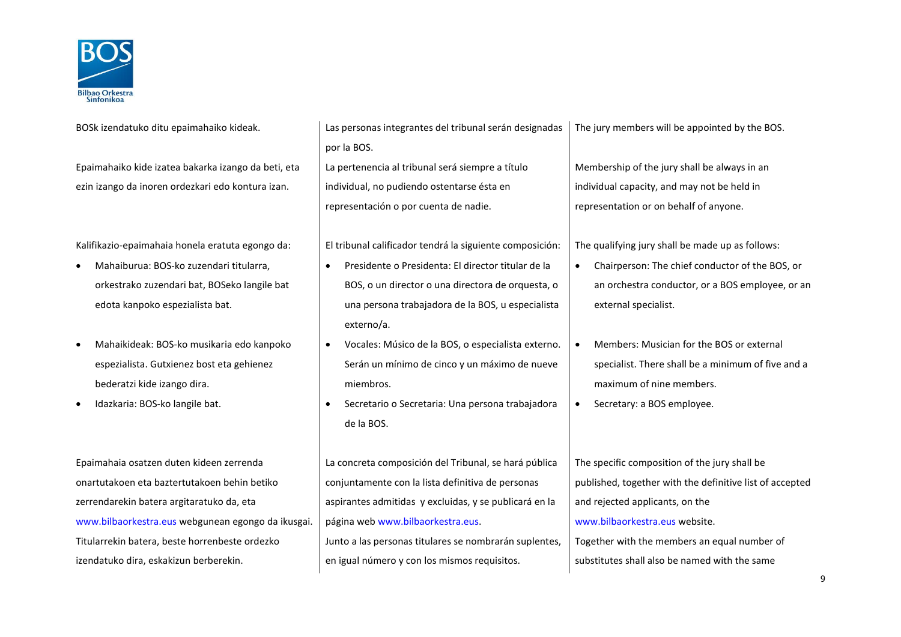

Epaimahaiko kide izatea bakarka izango da beti, eta ezin izango da inoren ordezkari edo kontura izan.

- Mahaiburua: BOS-ko zuzendari titularra, orkestrako zuzendari bat, BOSeko langile bat edota kanpoko espezialista bat.
- Mahaikideak: BOS-ko musikaria edo kanpoko espezialista. Gutxienez bost eta gehienez bederatzi kide izango dira.
- 

Epaimahaia osatzen duten kideen zerrenda onartutakoen eta baztertutakoen behin betiko zerrendarekin batera argitaratuko da, eta [www.bilbaorkestra.eus](http://www.bilbaorkestra.eus/) webgunean egongo da ikusgai. Titularrekin batera, beste horrenbeste ordezko izendatuko dira, eskakizun berberekin.

BOSk izendatuko ditu epaimahaiko kideak. Las personas integrantes del tribunal serán designadas por la BOS. La pertenencia al tribunal será siempre a título

individual, no pudiendo ostentarse ésta en representación o por cuenta de nadie.

Kalifikazio-epaimahaia honela eratuta egongo da: | El tribunal calificador tendrá la siguiente composición: | The qualifying jury shall be made up as follows:

- Presidente o Presidenta: El director titular de la BOS, o un director o una directora de orquesta, o una persona trabajadora de la BOS, u especialista externo/a.
- Vocales: Músico de la BOS, o especialista externo. Serán un mínimo de cinco y un máximo de nueve miembros.
- Idazkaria: BOS-ko langile bat. Secretario o Secretaria: Una persona trabajadora de la BOS.

La concreta composición del Tribunal, se hará pública conjuntamente con la lista definitiva de personas aspirantes admitidas y excluidas, y se publicará en la página web [www.bilbaorkestra.eus.](http://www.bilbaorkestra.eus/) Junto a las personas titulares se nombrarán suplentes, en igual número y con los mismos requisitos.

The jury members will be appointed by the BOS.

Membership of the jury shall be always in an individual capacity, and may not be held in representation or on behalf of anyone.

- Chairperson: The chief conductor of the BOS, or an orchestra conductor, or a BOS employee, or an external specialist.
- Members: Musician for the BOS or external specialist. There shall be a minimum of five and a maximum of nine members.
- Secretary: a BOS employee.

The specific composition of the jury shall be published, together with the definitive list of accepted and rejected applicants, on the [www.bilbaorkestra.eus](http://www.bilbaorkestra.eus/) website. Together with the members an equal number of substitutes shall also be named with the same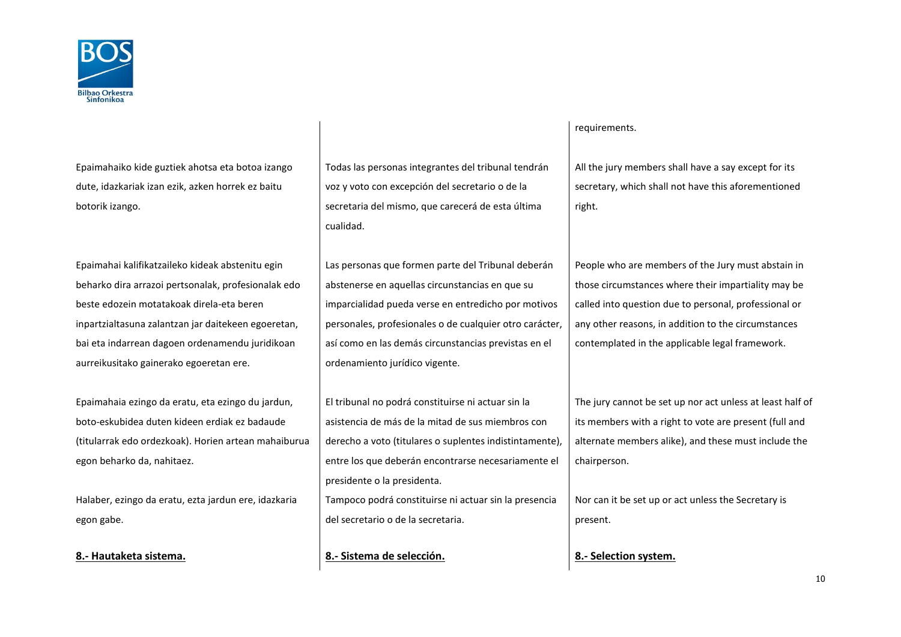

Epaimahaiko kide guztiek ahotsa eta botoa izango dute, idazkariak izan ezik, azken horrek ez baitu botorik izango.

Epaimahai kalifikatzaileko kideak abstenitu egin beharko dira arrazoi pertsonalak, profesionalak edo beste edozein motatakoak direla-eta beren inpartzialtasuna zalantzan jar daitekeen egoeretan, bai eta indarrean dagoen ordenamendu juridikoan aurreikusitako gainerako egoeretan ere.

Epaimahaia ezingo da eratu, eta ezingo du jardun, boto-eskubidea duten kideen erdiak ez badaude (titularrak edo ordezkoak). Horien artean mahaiburua egon beharko da, nahitaez.

Halaber, ezingo da eratu, ezta jardun ere, idazkaria egon gabe.

Todas las personas integrantes del tribunal tendrán voz y voto con excepción del secretario o de la secretaria del mismo, que carecerá de esta última cualidad.

Las personas que formen parte del Tribunal deberán abstenerse en aquellas circunstancias en que su imparcialidad pueda verse en entredicho por motivos personales, profesionales o de cualquier otro carácter, así como en las demás circunstancias previstas en el ordenamiento jurídico vigente.

El tribunal no podrá constituirse ni actuar sin la asistencia de más de la mitad de sus miembros con derecho a voto (titulares o suplentes indistintamente), entre los que deberán encontrarse necesariamente el presidente o la presidenta. Tampoco podrá constituirse ni actuar sin la presencia

del secretario o de la secretaria.

**8.- Hautaketa sistema. 8.- Sistema de selección. 8.- Selection system.**

### requirements.

All the jury members shall have a say except for its secretary, which shall not have this aforementioned right.

People who are members of the Jury must abstain in those circumstances where their impartiality may be called into question due to personal, professional or any other reasons, in addition to the circumstances contemplated in the applicable legal framework.

The jury cannot be set up nor act unless at least half of its members with a right to vote are present (full and alternate members alike), and these must include the chairperson.

Nor can it be set up or act unless the Secretary is present.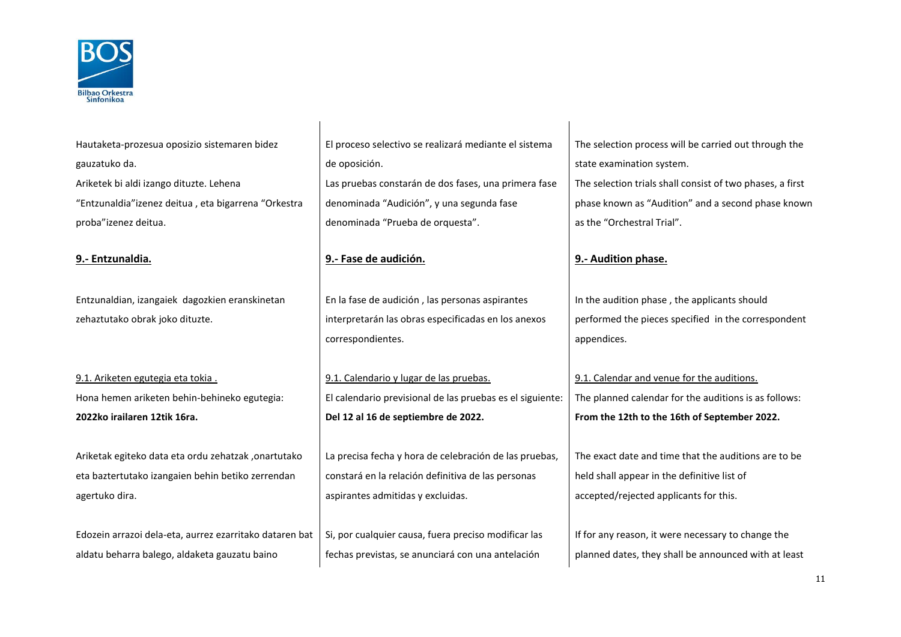

Hautaketa-prozesua oposizio sistemaren bidez gauzatuko da. Ariketek bi aldi izango dituzte. Lehena "Entzunaldia"izenez deitua , eta bigarrena "Orkestra proba"izenez deitua.

Entzunaldian, izangaiek dagozkien eranskinetan zehaztutako obrak joko dituzte.

Hona hemen ariketen behin-behineko egutegia: **2022ko irailaren 12tik 16ra.**

Ariketak egiteko data eta ordu zehatzak ,onartutako eta baztertutako izangaien behin betiko zerrendan agertuko dira.

Edozein arrazoi dela-eta, aurrez ezarritako dataren bat aldatu beharra balego, aldaketa gauzatu baino

El proceso selectivo se realizará mediante el sistema de oposición. Las pruebas constarán de dos fases, una primera fase denominada "Audición", y una segunda fase denominada "Prueba de orquesta".

### **9.- Entzunaldia. 9.- Fase de audición. 9.- Audition phase.**

En la fase de audición , las personas aspirantes interpretarán las obras especificadas en los anexos correspondientes.

9.1. Ariketen egutegia eta tokia .  $\vert$  9.1. Calendario y lugar de las pruebas.  $\vert$  9.1. Calendar and venue for the auditions. El calendario previsional de las pruebas es el siguiente: **Del 12 al 16 de septiembre de 2022.**

> La precisa fecha y hora de celebración de las pruebas, constará en la relación definitiva de las personas aspirantes admitidas y excluidas.

Si, por cualquier causa, fuera preciso modificar las fechas previstas, se anunciará con una antelación

The selection process will be carried out through the state examination system. The selection trials shall consist of two phases, a first phase known as "Audition" and a second phase known as the "Orchestral Trial".

In the audition phase , the applicants should performed the pieces specified in the correspondent appendices.

The planned calendar for the auditions is as follows: **From the 12th to the 16th of September 2022.**

The exact date and time that the auditions are to be held shall appear in the definitive list of accepted/rejected applicants for this.

If for any reason, it were necessary to change the planned dates, they shall be announced with at least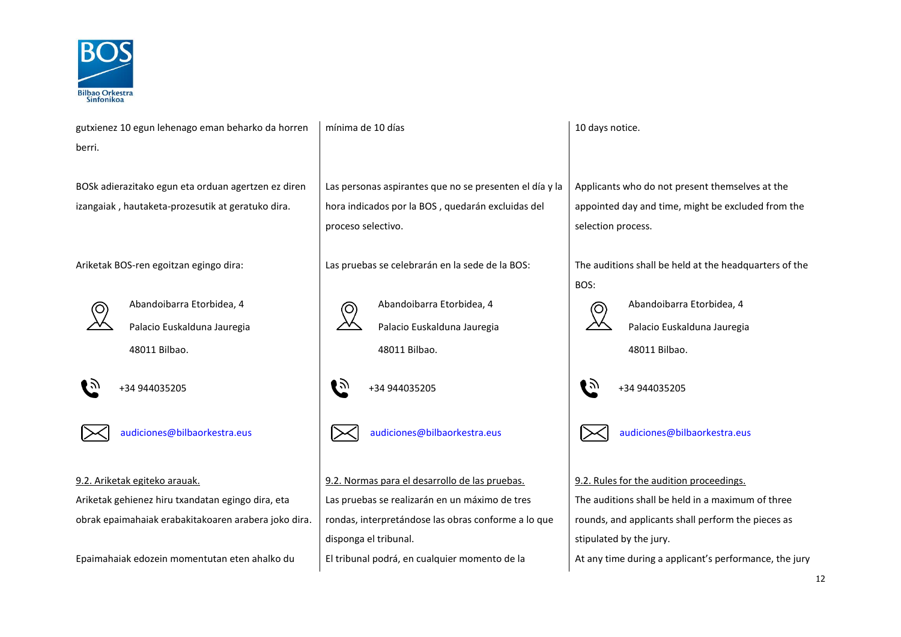

| gutxienez 10 egun lehenago eman beharko da horren    | mínima de 10 días                                                                                       | 10 days notice.                                        |  |
|------------------------------------------------------|---------------------------------------------------------------------------------------------------------|--------------------------------------------------------|--|
| berri.                                               |                                                                                                         |                                                        |  |
|                                                      |                                                                                                         |                                                        |  |
| BOSk adierazitako egun eta orduan agertzen ez diren  | Las personas aspirantes que no se presenten el día y la                                                 | Applicants who do not present themselves at the        |  |
| izangaiak, hautaketa-prozesutik at geratuko dira.    | hora indicados por la BOS, quedarán excluidas del                                                       | appointed day and time, might be excluded from the     |  |
|                                                      | proceso selectivo.                                                                                      | selection process.                                     |  |
|                                                      |                                                                                                         |                                                        |  |
| Ariketak BOS-ren egoitzan egingo dira:               | Las pruebas se celebrarán en la sede de la BOS:                                                         | The auditions shall be held at the headquarters of the |  |
|                                                      |                                                                                                         | BOS:                                                   |  |
| Abandoibarra Etorbidea, 4                            | Abandoibarra Etorbidea, 4                                                                               | Abandoibarra Etorbidea, 4                              |  |
| Palacio Euskalduna Jauregia                          | $\rightsquigarrow$<br>Palacio Euskalduna Jauregia                                                       | Palacio Euskalduna Jauregia                            |  |
| 48011 Bilbao.                                        | 48011 Bilbao.                                                                                           | 48011 Bilbao.                                          |  |
|                                                      |                                                                                                         |                                                        |  |
| I 27<br>+34 944035205                                | ∎⊼<br>+34 944035205                                                                                     | €∌<br>+34 944035205                                    |  |
|                                                      |                                                                                                         |                                                        |  |
| audiciones@bilbaorkestra.eus                         | audiciones@bilbaorkestra.eus                                                                            | audiciones@bilbaorkestra.eus                           |  |
|                                                      |                                                                                                         |                                                        |  |
|                                                      |                                                                                                         |                                                        |  |
| 9.2. Ariketak egiteko arauak.                        | 9.2. Normas para el desarrollo de las pruebas.                                                          | 9.2. Rules for the audition proceedings.               |  |
| Ariketak gehienez hiru txandatan egingo dira, eta    | Las pruebas se realizarán en un máximo de tres                                                          | The auditions shall be held in a maximum of three      |  |
| obrak epaimahaiak erabakitakoaren arabera joko dira. | rondas, interpretándose las obras conforme a lo que                                                     | rounds, and applicants shall perform the pieces as     |  |
|                                                      | disponga el tribunal.                                                                                   | stipulated by the jury.                                |  |
| Epaimahaiak edozein momentutan eten ahalko du        | El tribunal podrá, en cualquier momento de la<br>At any time during a applicant's performance, the jury |                                                        |  |
|                                                      |                                                                                                         |                                                        |  |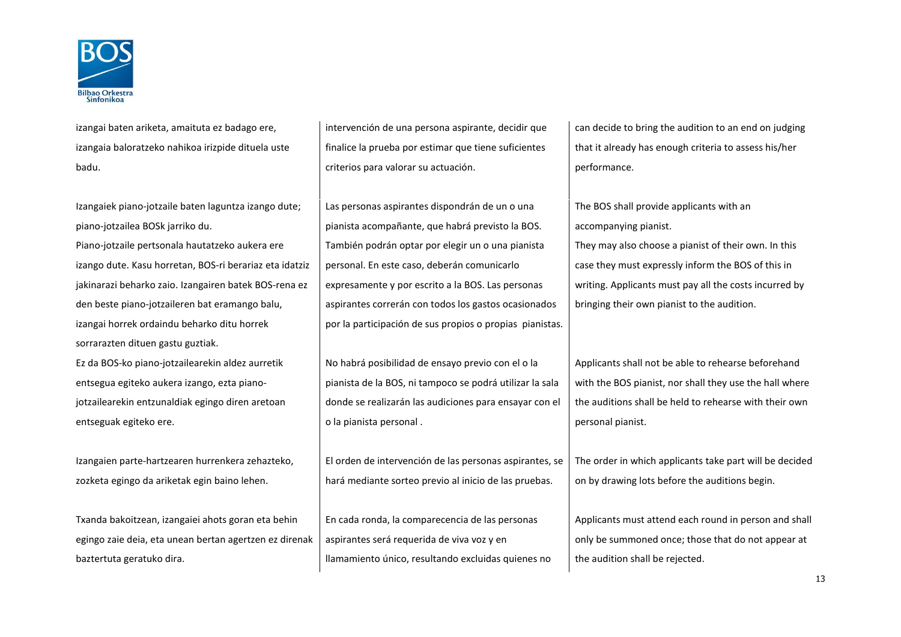

izangai baten ariketa, amaituta ez badago ere, izangaia baloratzeko nahikoa irizpide dituela uste badu.

Izangaiek piano-jotzaile baten laguntza izango dute; piano-jotzailea BOSk jarriko du. Piano-jotzaile pertsonala hautatzeko aukera ere izango dute. Kasu horretan, BOS-ri berariaz eta idatziz jakinarazi beharko zaio. Izangairen batek BOS-rena ez den beste piano-jotzaileren bat eramango balu, izangai horrek ordaindu beharko ditu horrek sorrarazten dituen gastu guztiak.

Ez da BOS-ko piano-jotzailearekin aldez aurretik entsegua egiteko aukera izango, ezta pianojotzailearekin entzunaldiak egingo diren aretoan entseguak egiteko ere.

Izangaien parte-hartzearen hurrenkera zehazteko, zozketa egingo da ariketak egin baino lehen.

Txanda bakoitzean, izangaiei ahots goran eta behin egingo zaie deia, eta unean bertan agertzen ez direnak baztertuta geratuko dira.

intervención de una persona aspirante, decidir que finalice la prueba por estimar que tiene suficientes criterios para valorar su actuación.

Las personas aspirantes dispondrán de un o una pianista acompañante, que habrá previsto la BOS. También podrán optar por elegir un o una pianista personal. En este caso, deberán comunicarlo expresamente y por escrito a la BOS. Las personas aspirantes correrán con todos los gastos ocasionados por la participación de sus propios o propias pianistas.

No habrá posibilidad de ensayo previo con el o la pianista de la BOS, ni tampoco se podrá utilizar la sala donde se realizarán las audiciones para ensayar con el o la pianista personal .

El orden de intervención de las personas aspirantes, se hará mediante sorteo previo al inicio de las pruebas.

En cada ronda, la comparecencia de las personas aspirantes será requerida de viva voz y en llamamiento único, resultando excluidas quienes no can decide to bring the audition to an end on judging that it already has enough criteria to assess his/her performance.

The BOS shall provide applicants with an accompanying pianist.

They may also choose a pianist of their own. In this case they must expressly inform the BOS of this in writing. Applicants must pay all the costs incurred by bringing their own pianist to the audition.

Applicants shall not be able to rehearse beforehand with the BOS pianist, nor shall they use the hall where the auditions shall be held to rehearse with their own personal pianist.

The order in which applicants take part will be decided on by drawing lots before the auditions begin.

Applicants must attend each round in person and shall only be summoned once; those that do not appear at the audition shall be rejected.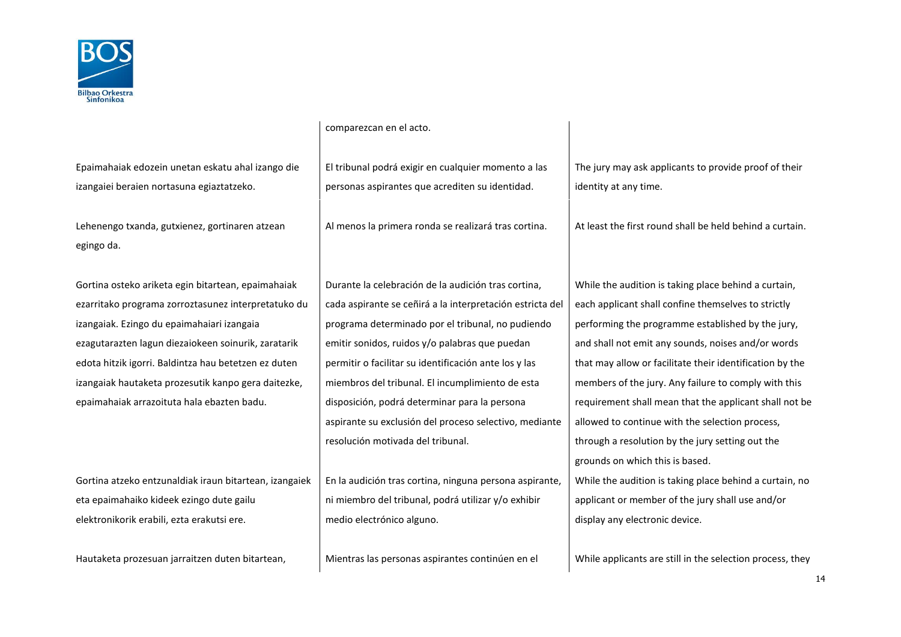

comparezcan en el acto.

Epaimahaiak edozein unetan eskatu ahal izango die izangaiei beraien nortasuna egiaztatzeko.

Lehenengo txanda, gutxienez, gortinaren atzean egingo da.

Gortina osteko ariketa egin bitartean, epaimahaiak ezarritako programa zorroztasunez interpretatuko du izangaiak. Ezingo du epaimahaiari izangaia ezagutarazten lagun diezaiokeen soinurik, zaratarik edota hitzik igorri. Baldintza hau betetzen ez duten izangaiak hautaketa prozesutik kanpo gera daitezke, epaimahaiak arrazoituta hala ebazten badu.

Gortina atzeko entzunaldiak iraun bitartean, izangaiek eta epaimahaiko kideek ezingo dute gailu elektronikorik erabili, ezta erakutsi ere.

El tribunal podrá exigir en cualquier momento a las personas aspirantes que acrediten su identidad.

Durante la celebración de la audición tras cortina, cada aspirante se ceñirá a la interpretación estricta del programa determinado por el tribunal, no pudiendo emitir sonidos, ruidos y/o palabras que puedan permitir o facilitar su identificación ante los y las miembros del tribunal. El incumplimiento de esta disposición, podrá determinar para la persona aspirante su exclusión del proceso selectivo, mediante resolución motivada del tribunal.

En la audición tras cortina, ninguna persona aspirante, ni miembro del tribunal, podrá utilizar y/o exhibir medio electrónico alguno.

The jury may ask applicants to provide proof of their identity at any time.

Al menos la primera ronda se realizará tras cortina. At least the first round shall be held behind a curtain.

While the audition is taking place behind a curtain, each applicant shall confine themselves to strictly performing the programme established by the jury, and shall not emit any sounds, noises and/or words that may allow or facilitate their identification by the members of the jury. Any failure to comply with this requirement shall mean that the applicant shall not be allowed to continue with the selection process, through a resolution by the jury setting out the grounds on which this is based. While the audition is taking place behind a curtain, no applicant or member of the jury shall use and/or display any electronic device.

Hautaketa prozesuan jarraitzen duten bitartean.  $\blacksquare$  Mientras las personas aspirantes continúen en el  $\blacksquare$  While applicants are still in the selection process, they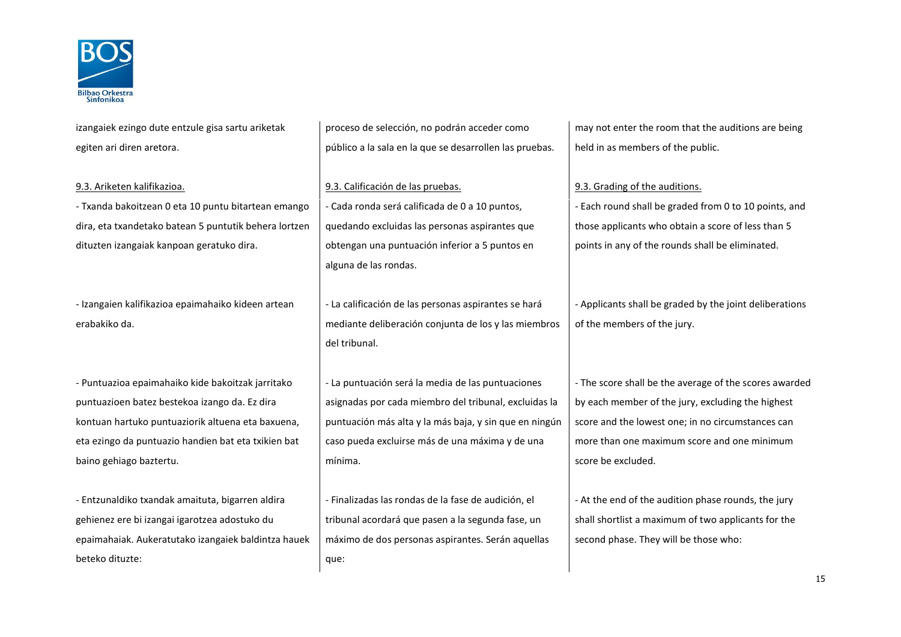

izangaiek ezingo dute entzule gisa sartu ariketak egiten ari diren aretora. proceso de selección, no podrán acceder como público a la sala en la que se desarrollen las pruebas. may not enter the room that the auditions are being held in as members of the public. 9.3. Ariketen kalifikazioa. eta este este este errorentzia eta ezaz erroren 19.3. Calificación de las pruebas. - Txanda bakoitzean 0 eta 10 puntu bitartean emango dira, eta txandetako batean 5 puntutik behera lortzen dituzten izangaiak kanpoan geratuko dira. - Cada ronda será calificada de 0 a 10 puntos, quedando excluidas las personas aspirantes que obtengan una puntuación inferior a 5 puntos en alguna de las rondas. - Each round shall be graded from 0 to 10 points, and those applicants who obtain a score of less than 5 points in any of the rounds shall be eliminated. - Izangaien kalifikazioa epaimahaiko kideen artean erabakiko da. - La calificación de las personas aspirantes se hará mediante deliberación conjunta de los y las miembros del tribunal. - Applicants shall be graded by the joint deliberations of the members of the jury. - Puntuazioa epaimahaiko kide bakoitzak jarritako puntuazioen batez bestekoa izango da. Ez dira kontuan hartuko puntuaziorik altuena eta baxuena, eta ezingo da puntuazio handien bat eta txikien bat baino gehiago baztertu. - La puntuación será la media de las puntuaciones asignadas por cada miembro del tribunal, excluidas la puntuación más alta y la más baja, y sin que en ningún caso pueda excluirse más de una máxima y de una mínima. - The score shall be the average of the scores awarded by each member of the jury, excluding the highest score and the lowest one; in no circumstances can more than one maximum score and one minimum score be excluded. - Entzunaldiko txandak amaituta, bigarren aldira gehienez ere bi izangai igarotzea adostuko du epaimahaiak. Aukeratutako izangaiek baldintza hauek beteko dituzte: - Finalizadas las rondas de la fase de audición, el tribunal acordará que pasen a la segunda fase, un máximo de dos personas aspirantes. Serán aquellas que: - At the end of the audition phase rounds, the jury shall shortlist a maximum of two applicants for the second phase. They will be those who: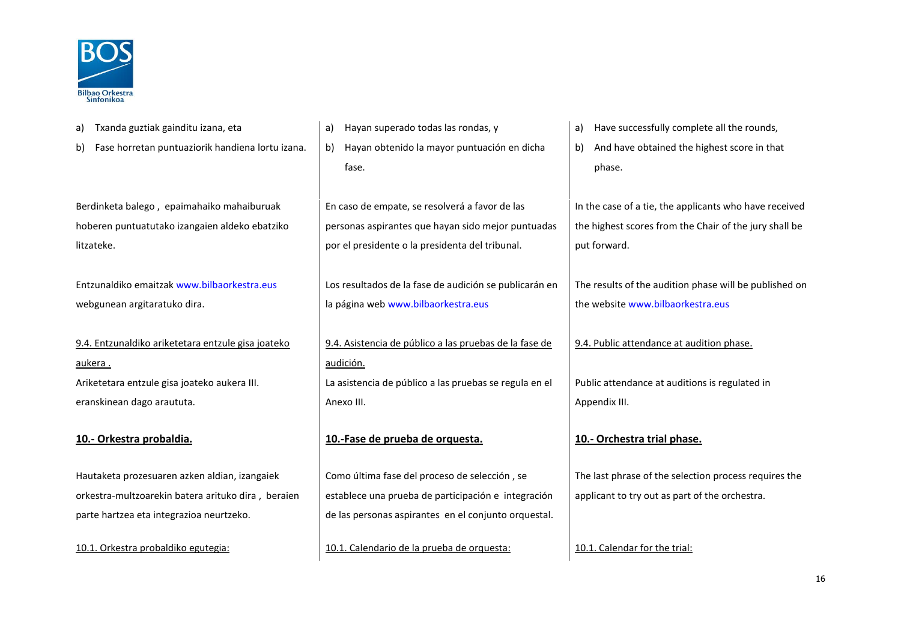

| Txanda guztiak gainditu izana, eta<br>a)               | Hayan superado todas las rondas, y<br>a)               | Have successfully complete all the rounds,<br>a)       |
|--------------------------------------------------------|--------------------------------------------------------|--------------------------------------------------------|
| Fase horretan puntuaziorik handiena lortu izana.<br>b) | Hayan obtenido la mayor puntuación en dicha<br>b)      | And have obtained the highest score in that<br>b)      |
|                                                        | fase.                                                  | phase.                                                 |
|                                                        |                                                        |                                                        |
| Berdinketa balego, epaimahaiko mahaiburuak             | En caso de empate, se resolverá a favor de las         | In the case of a tie, the applicants who have received |
| hoberen puntuatutako izangaien aldeko ebatziko         | personas aspirantes que hayan sido mejor puntuadas     | the highest scores from the Chair of the jury shall be |
| litzateke.                                             | por el presidente o la presidenta del tribunal.        | put forward.                                           |
|                                                        |                                                        |                                                        |
| Entzunaldiko emaitzak www.bilbaorkestra.eus            | Los resultados de la fase de audición se publicarán en | The results of the audition phase will be published on |
| webgunean argitaratuko dira.                           | la página web www.bilbaorkestra.eus                    | the website www.bilbaorkestra.eus                      |
|                                                        |                                                        |                                                        |
| 9.4. Entzunaldiko ariketetara entzule gisa joateko     | 9.4. Asistencia de público a las pruebas de la fase de | 9.4. Public attendance at audition phase.              |
| aukera.                                                | audición.                                              |                                                        |
| Ariketetara entzule gisa joateko aukera III.           | La asistencia de público a las pruebas se regula en el | Public attendance at auditions is regulated in         |
| eranskinean dago araututa.                             | Anexo III.                                             | Appendix III.                                          |
|                                                        |                                                        |                                                        |
| 10.- Orkestra probaldia.                               | 10.-Fase de prueba de orquesta.                        | 10.- Orchestra trial phase.                            |
|                                                        |                                                        |                                                        |
| Hautaketa prozesuaren azken aldian, izangaiek          | Como última fase del proceso de selección, se          | The last phrase of the selection process requires the  |
| orkestra-multzoarekin batera arituko dira, beraien     | establece una prueba de participación e integración    | applicant to try out as part of the orchestra.         |
| parte hartzea eta integrazioa neurtzeko.               | de las personas aspirantes en el conjunto orquestal.   |                                                        |
| 10.1. Orkestra probaldiko egutegia:                    | 10.1. Calendario de la prueba de orquesta:             | 10.1. Calendar for the trial:                          |
|                                                        |                                                        |                                                        |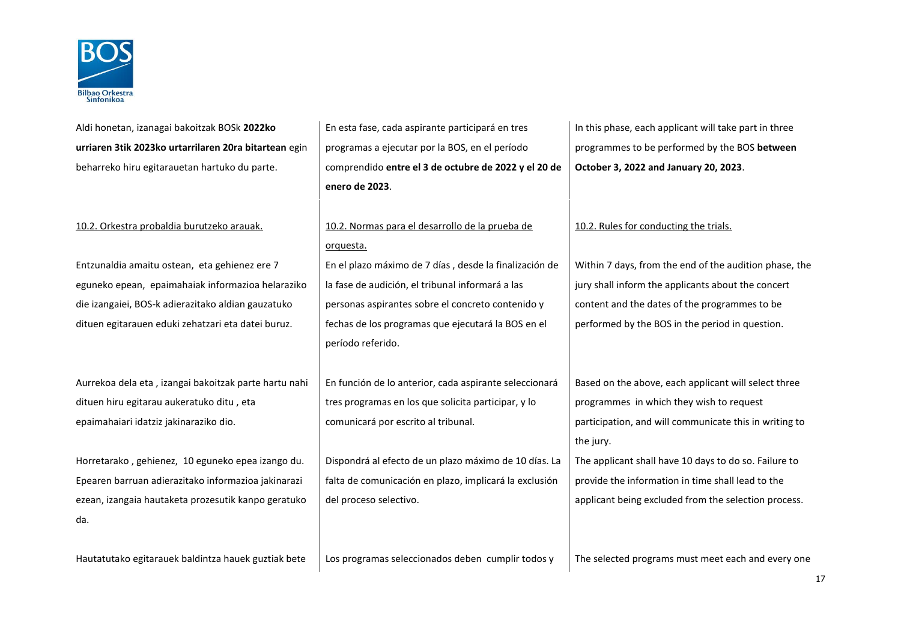

| Aldi honetan, izanagai bakoitzak BOSk 2022ko          | En esta fase, cada aspirante participará en tres       | In this phase, each applicant will take part in three  |  |
|-------------------------------------------------------|--------------------------------------------------------|--------------------------------------------------------|--|
| urriaren 3tik 2023ko urtarrilaren 20ra bitartean egin | programas a ejecutar por la BOS, en el período         | programmes to be performed by the BOS between          |  |
| beharreko hiru egitarauetan hartuko du parte.         | comprendido entre el 3 de octubre de 2022 y el 20 de   | October 3, 2022 and January 20, 2023.                  |  |
|                                                       | enero de 2023.                                         |                                                        |  |
|                                                       |                                                        |                                                        |  |
| 10.2. Orkestra probaldia burutzeko arauak.            | 10.2. Normas para el desarrollo de la prueba de        | 10.2. Rules for conducting the trials.                 |  |
|                                                       | orquesta.                                              |                                                        |  |
| Entzunaldia amaitu ostean, eta gehienez ere 7         | En el plazo máximo de 7 días, desde la finalización de | Within 7 days, from the end of the audition phase, the |  |
| eguneko epean, epaimahaiak informazioa helaraziko     | la fase de audición, el tribunal informará a las       | jury shall inform the applicants about the concert     |  |
| die izangaiei, BOS-k adierazitako aldian gauzatuko    | personas aspirantes sobre el concreto contenido y      | content and the dates of the programmes to be          |  |
| dituen egitarauen eduki zehatzari eta datei buruz.    | fechas de los programas que ejecutará la BOS en el     | performed by the BOS in the period in question.        |  |
|                                                       | período referido.                                      |                                                        |  |
|                                                       |                                                        |                                                        |  |
| Aurrekoa dela eta, izangai bakoitzak parte hartu nahi | En función de lo anterior, cada aspirante seleccionará | Based on the above, each applicant will select three   |  |
| dituen hiru egitarau aukeratuko ditu, eta             | tres programas en los que solicita participar, y lo    | programmes in which they wish to request               |  |
| epaimahaiari idatziz jakinaraziko dio.                | comunicará por escrito al tribunal.                    | participation, and will communicate this in writing to |  |
|                                                       |                                                        | the jury.                                              |  |
| Horretarako, gehienez, 10 eguneko epea izango du.     | Dispondrá al efecto de un plazo máximo de 10 días. La  | The applicant shall have 10 days to do so. Failure to  |  |
| Epearen barruan adierazitako informazioa jakinarazi   | falta de comunicación en plazo, implicará la exclusión | provide the information in time shall lead to the      |  |
| ezean, izangaia hautaketa prozesutik kanpo geratuko   | del proceso selectivo.                                 | applicant being excluded from the selection process.   |  |
| da.                                                   |                                                        |                                                        |  |
|                                                       |                                                        |                                                        |  |
| Hautatutako egitarauek baldintza hauek guztiak bete   | Los programas seleccionados deben cumplir todos y      | The selected programs must meet each and every one     |  |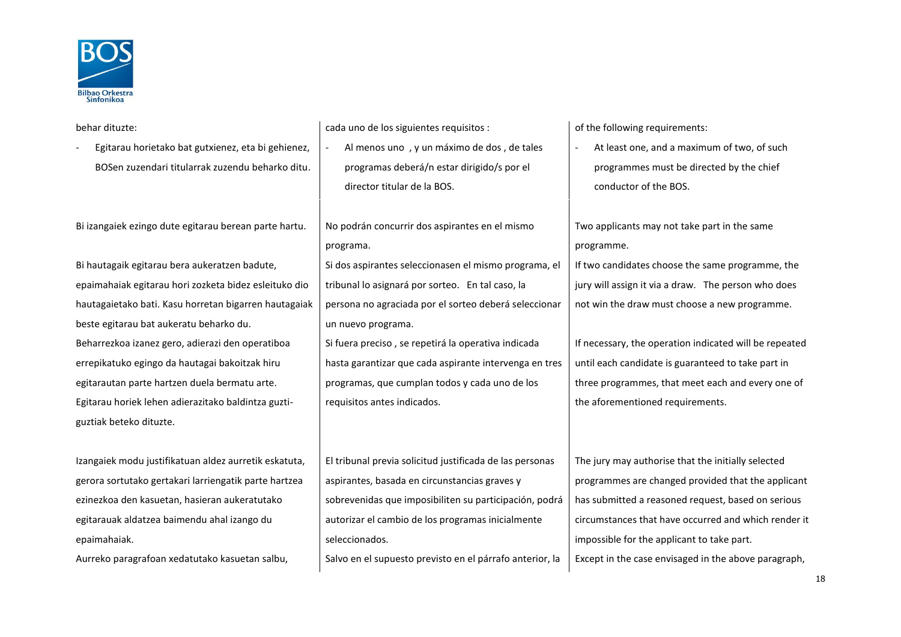

| behar dituzte:                                        | cada uno de los siguientes requisitos :                                                                | of the following requirements:                         |
|-------------------------------------------------------|--------------------------------------------------------------------------------------------------------|--------------------------------------------------------|
| Egitarau horietako bat gutxienez, eta bi gehienez,    | Al menos uno, y un máximo de dos, de tales                                                             | At least one, and a maximum of two, of such            |
| BOSen zuzendari titularrak zuzendu beharko ditu.      | programas deberá/n estar dirigido/s por el                                                             | programmes must be directed by the chief               |
|                                                       | director titular de la BOS.                                                                            | conductor of the BOS.                                  |
|                                                       |                                                                                                        |                                                        |
| Bi izangaiek ezingo dute egitarau berean parte hartu. | No podrán concurrir dos aspirantes en el mismo                                                         | Two applicants may not take part in the same           |
|                                                       | programa.                                                                                              | programme.                                             |
| Bi hautagaik egitarau bera aukeratzen badute,         | Si dos aspirantes seleccionasen el mismo programa, el                                                  | If two candidates choose the same programme, the       |
| epaimahaiak egitarau hori zozketa bidez esleituko dio | tribunal lo asignará por sorteo. En tal caso, la                                                       | jury will assign it via a draw. The person who does    |
| hautagaietako bati. Kasu horretan bigarren hautagaiak | persona no agraciada por el sorteo deberá seleccionar<br>not win the draw must choose a new programme. |                                                        |
| beste egitarau bat aukeratu beharko du.               | un nuevo programa.                                                                                     |                                                        |
| Beharrezkoa izanez gero, adierazi den operatiboa      | Si fuera preciso, se repetirá la operativa indicada                                                    | If necessary, the operation indicated will be repeated |
| errepikatuko egingo da hautagai bakoitzak hiru        | hasta garantizar que cada aspirante intervenga en tres                                                 | until each candidate is guaranteed to take part in     |
| egitarautan parte hartzen duela bermatu arte.         | programas, que cumplan todos y cada uno de los                                                         | three programmes, that meet each and every one of      |
| Egitarau horiek lehen adierazitako baldintza guzti-   | requisitos antes indicados.                                                                            | the aforementioned requirements.                       |
| guztiak beteko dituzte.                               |                                                                                                        |                                                        |
|                                                       |                                                                                                        |                                                        |
| Izangaiek modu justifikatuan aldez aurretik eskatuta, | El tribunal previa solicitud justificada de las personas                                               | The jury may authorise that the initially selected     |
| gerora sortutako gertakari larriengatik parte hartzea | aspirantes, basada en circunstancias graves y                                                          | programmes are changed provided that the applicant     |
| ezinezkoa den kasuetan, hasieran aukeratutako         | sobrevenidas que imposibiliten su participación, podrá                                                 | has submitted a reasoned request, based on serious     |
| egitarauak aldatzea baimendu ahal izango du           | autorizar el cambio de los programas inicialmente                                                      | circumstances that have occurred and which render it   |
| epaimahaiak.                                          | seleccionados.                                                                                         | impossible for the applicant to take part.             |
| Aurreko paragrafoan xedatutako kasuetan salbu,        | Salvo en el supuesto previsto en el párrafo anterior, la                                               | Except in the case envisaged in the above paragraph,   |
|                                                       |                                                                                                        |                                                        |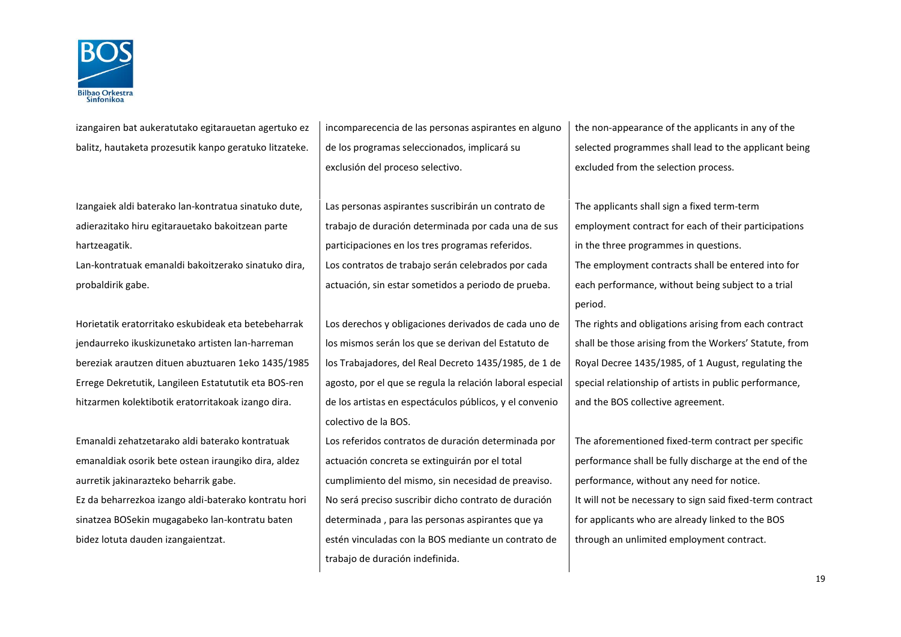

izangairen bat aukeratutako egitarauetan agertuko ez balitz, hautaketa prozesutik kanpo geratuko litzateke.

Izangaiek aldi baterako lan-kontratua sinatuko dute, adierazitako hiru egitarauetako bakoitzean parte hartzeagatik.

Lan-kontratuak emanaldi bakoitzerako sinatuko dira, probaldirik gabe.

Horietatik eratorritako eskubideak eta betebeharrak jendaurreko ikuskizunetako artisten lan-harreman bereziak arautzen dituen abuztuaren 1eko 1435/1985 Errege Dekretutik, Langileen Estatututik eta BOS-ren hitzarmen kolektibotik eratorritakoak izango dira.

Emanaldi zehatzetarako aldi baterako kontratuak emanaldiak osorik bete ostean iraungiko dira, aldez aurretik jakinarazteko beharrik gabe.

Ez da beharrezkoa izango aldi-baterako kontratu hori sinatzea BOSekin mugagabeko lan-kontratu baten bidez lotuta dauden izangaientzat.

incomparecencia de las personas aspirantes en alguno de los programas seleccionados, implicará su exclusión del proceso selectivo.

Las personas aspirantes suscribirán un contrato de trabajo de duración determinada por cada una de sus participaciones en los tres programas referidos. Los contratos de trabajo serán celebrados por cada actuación, sin estar sometidos a periodo de prueba.

Los derechos y obligaciones derivados de cada uno de los mismos serán los que se derivan del Estatuto de los Trabajadores, del Real Decreto 1435/1985, de 1 de agosto, por el que se regula la relación laboral especial de los artistas en espectáculos públicos, y el convenio colectivo de la BOS.

Los referidos contratos de duración determinada por actuación concreta se extinguirán por el total cumplimiento del mismo, sin necesidad de preaviso. No será preciso suscribir dicho contrato de duración determinada , para las personas aspirantes que ya estén vinculadas con la BOS mediante un contrato de trabajo de duración indefinida.

the non-appearance of the applicants in any of the selected programmes shall lead to the applicant being excluded from the selection process.

The applicants shall sign a fixed term-term employment contract for each of their participations in the three programmes in questions. The employment contracts shall be entered into for each performance, without being subject to a trial period.

The rights and obligations arising from each contract shall be those arising from the Workers' Statute, from Royal Decree 1435/1985, of 1 August, regulating the special relationship of artists in public performance, and the BOS collective agreement.

The aforementioned fixed-term contract per specific performance shall be fully discharge at the end of the performance, without any need for notice. It will not be necessary to sign said fixed-term contract for applicants who are already linked to the BOS through an unlimited employment contract.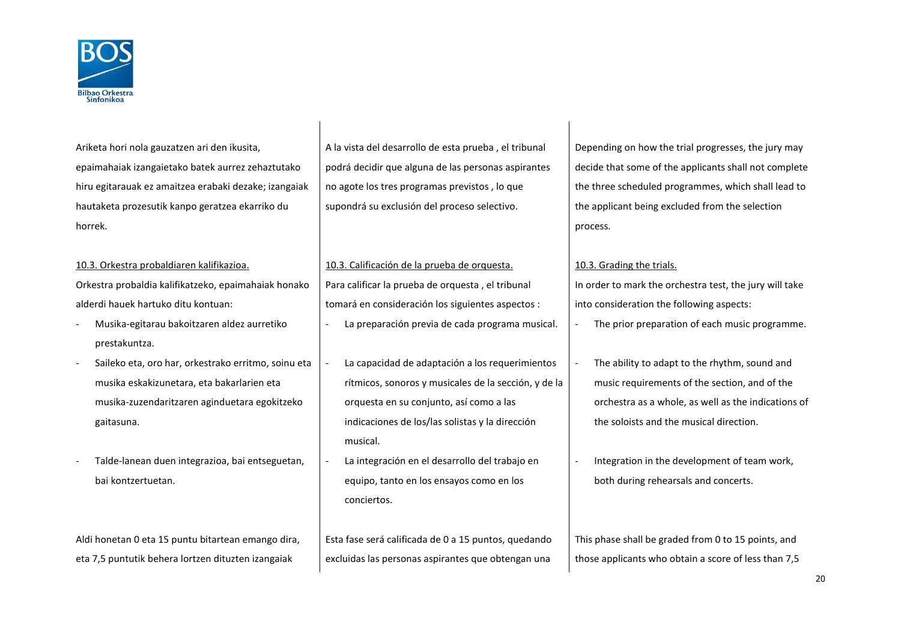

Ariketa hori nola gauzatzen ari den ikusita, epaimahaiak izangaietako batek aurrez zehaztutako hiru egitarauak ez amaitzea erabaki dezake; izangaiak hautaketa prozesutik kanpo geratzea ekarriko du horrek.

Orkestra probaldia kalifikatzeko, epaimahaiak honako

alderdi hauek hartuko ditu kontuan:

- Musika-egitarau bakoitzaren aldez aurretiko prestakuntza.
- Saileko eta, oro har, orkestrako erritmo, soinu eta musika eskakizunetara, eta bakarlarien eta musika-zuzendaritzaren aginduetara egokitzeko gaitasuna.
- Talde-lanean duen integrazioa, bai entseguetan, bai kontzertuetan.

Aldi honetan 0 eta 15 puntu bitartean emango dira, eta 7,5 puntutik behera lortzen dituzten izangaiak

A la vista del desarrollo de esta prueba , el tribunal podrá decidir que alguna de las personas aspirantes no agote los tres programas previstos , lo que supondrá su exclusión del proceso selectivo.

10.3. Orkestra probaldiaren kalifikazioa. 10.3. Calificación de la prueba de orquesta. 10.3. Grading the trials. Para calificar la prueba de orquesta , el tribunal tomará en consideración los siguientes aspectos :

- La capacidad de adaptación a los requerimientos rítmicos, sonoros y musicales de la sección, y de la orquesta en su conjunto, así como a las indicaciones de los/las solistas y la dirección musical.
- La integración en el desarrollo del trabajo en equipo, tanto en los ensayos como en los conciertos.

Esta fase será calificada de 0 a 15 puntos, quedando excluidas las personas aspirantes que obtengan una Depending on how the trial progresses, the jury may decide that some of the applicants shall not complete the three scheduled programmes, which shall lead to the applicant being excluded from the selection process.

In order to mark the orchestra test, the jury will take into consideration the following aspects:

- La preparación previa de cada programa musical.  $\vert \cdot \vert$  The prior preparation of each music programme.
	- The ability to adapt to the rhythm, sound and music requirements of the section, and of the orchestra as a whole, as well as the indications of the soloists and the musical direction.
	- Integration in the development of team work, both during rehearsals and concerts.

This phase shall be graded from 0 to 15 points, and those applicants who obtain a score of less than 7,5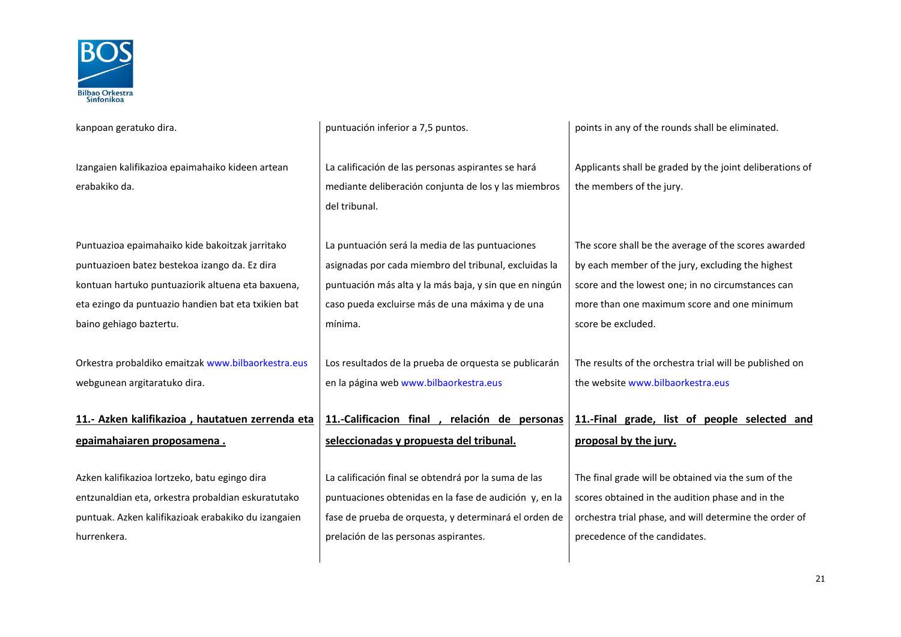

| kanpoan geratuko dira.                              | puntuación inferior a 7,5 puntos.                      | points in any of the rounds shall be eliminated.         |  |
|-----------------------------------------------------|--------------------------------------------------------|----------------------------------------------------------|--|
|                                                     |                                                        |                                                          |  |
| Izangaien kalifikazioa epaimahaiko kideen artean    | La calificación de las personas aspirantes se hará     | Applicants shall be graded by the joint deliberations of |  |
| erabakiko da.                                       | mediante deliberación conjunta de los y las miembros   | the members of the jury.                                 |  |
|                                                     | del tribunal.                                          |                                                          |  |
|                                                     |                                                        |                                                          |  |
| Puntuazioa epaimahaiko kide bakoitzak jarritako     | La puntuación será la media de las puntuaciones        | The score shall be the average of the scores awarded     |  |
| puntuazioen batez bestekoa izango da. Ez dira       | asignadas por cada miembro del tribunal, excluidas la  | by each member of the jury, excluding the highest        |  |
| kontuan hartuko puntuaziorik altuena eta baxuena,   | puntuación más alta y la más baja, y sin que en ningún | score and the lowest one; in no circumstances can        |  |
| eta ezingo da puntuazio handien bat eta txikien bat | caso pueda excluirse más de una máxima y de una        | more than one maximum score and one minimum              |  |
| baino gehiago baztertu.                             | mínima.                                                | score be excluded.                                       |  |
|                                                     |                                                        |                                                          |  |
| Orkestra probaldiko emaitzak www.bilbaorkestra.eus  | Los resultados de la prueba de orquesta se publicarán  | The results of the orchestra trial will be published on  |  |
| webgunean argitaratuko dira.                        | en la página web www.bilbaorkestra.eus                 | the website www.bilbaorkestra.eus                        |  |
|                                                     |                                                        |                                                          |  |
| 11.- Azken kalifikazioa, hautatuen zerrenda eta     | 11.-Calificacion final,<br>relación de personas        | 11.-Final grade, list of people selected and             |  |
| epaimahaiaren proposamena.                          | seleccionadas y propuesta del tribunal.                | proposal by the jury.                                    |  |
|                                                     |                                                        |                                                          |  |
| Azken kalifikazioa lortzeko, batu egingo dira       | La calificación final se obtendrá por la suma de las   | The final grade will be obtained via the sum of the      |  |
| entzunaldian eta, orkestra probaldian eskuratutako  | puntuaciones obtenidas en la fase de audición y, en la | scores obtained in the audition phase and in the         |  |
| puntuak. Azken kalifikazioak erabakiko du izangaien | fase de prueba de orquesta, y determinará el orden de  | orchestra trial phase, and will determine the order of   |  |
| hurrenkera.                                         | prelación de las personas aspirantes.                  | precedence of the candidates.                            |  |
|                                                     |                                                        |                                                          |  |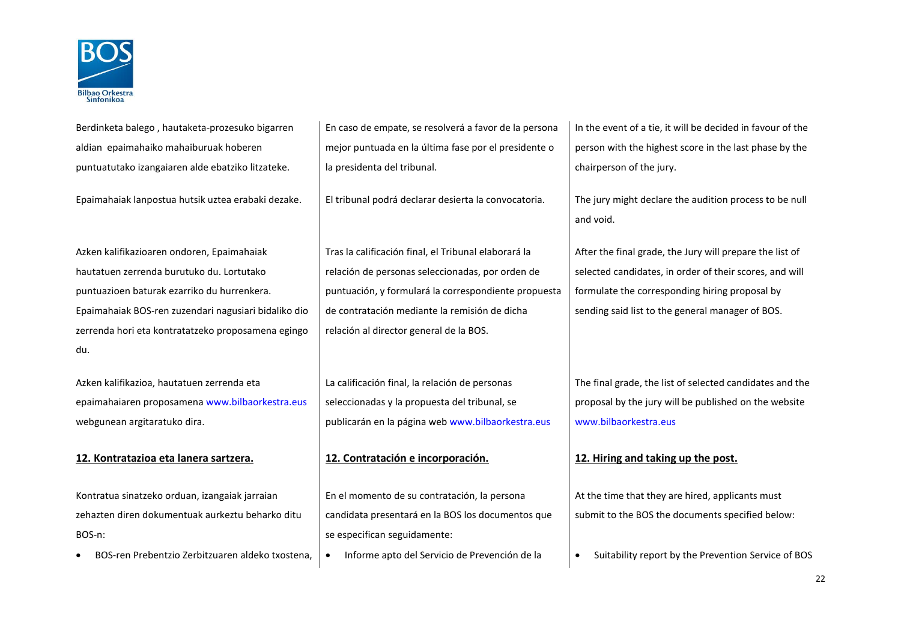

| Berdinketa balego, hautaketa-prozesuko bigarren                                                                                                                  | En caso de empate, se resolverá a favor de la persona                                                                                                                              | In the event of a tie, it will be decided in favour of the                                                                                                  |
|------------------------------------------------------------------------------------------------------------------------------------------------------------------|------------------------------------------------------------------------------------------------------------------------------------------------------------------------------------|-------------------------------------------------------------------------------------------------------------------------------------------------------------|
| aldian epaimahaiko mahaiburuak hoberen                                                                                                                           | mejor puntuada en la última fase por el presidente o                                                                                                                               | person with the highest score in the last phase by the                                                                                                      |
| puntuatutako izangaiaren alde ebatziko litzateke.                                                                                                                | la presidenta del tribunal.                                                                                                                                                        | chairperson of the jury.                                                                                                                                    |
| Epaimahaiak lanpostua hutsik uztea erabaki dezake.                                                                                                               | El tribunal podrá declarar desierta la convocatoria.                                                                                                                               | The jury might declare the audition process to be null<br>and void.                                                                                         |
| Azken kalifikazioaren ondoren, Epaimahaiak                                                                                                                       | Tras la calificación final, el Tribunal elaborará la                                                                                                                               | After the final grade, the Jury will prepare the list of                                                                                                    |
| hautatuen zerrenda burutuko du. Lortutako                                                                                                                        | relación de personas seleccionadas, por orden de                                                                                                                                   | selected candidates, in order of their scores, and will                                                                                                     |
| puntuazioen baturak ezarriko du hurrenkera.                                                                                                                      | puntuación, y formulará la correspondiente propuesta                                                                                                                               | formulate the corresponding hiring proposal by                                                                                                              |
| Epaimahaiak BOS-ren zuzendari nagusiari bidaliko dio                                                                                                             | de contratación mediante la remisión de dicha                                                                                                                                      | sending said list to the general manager of BOS.                                                                                                            |
| zerrenda hori eta kontratatzeko proposamena egingo                                                                                                               | relación al director general de la BOS.                                                                                                                                            |                                                                                                                                                             |
| du.                                                                                                                                                              |                                                                                                                                                                                    |                                                                                                                                                             |
| Azken kalifikazioa, hautatuen zerrenda eta<br>epaimahaiaren proposamena www.bilbaorkestra.eus<br>webgunean argitaratuko dira.                                    | La calificación final, la relación de personas<br>seleccionadas y la propuesta del tribunal, se<br>publicarán en la página web www.bilbaorkestra.eus                               | The final grade, the list of selected candidates and the<br>proposal by the jury will be published on the website<br>www.bilbaorkestra.eus                  |
| 12. Kontratazioa eta lanera sartzera.                                                                                                                            | 12. Contratación e incorporación.                                                                                                                                                  | 12. Hiring and taking up the post.                                                                                                                          |
| Kontratua sinatzeko orduan, izangaiak jarraian<br>zehazten diren dokumentuak aurkeztu beharko ditu<br>BOS-n:<br>BOS-ren Prebentzio Zerbitzuaren aldeko txostena, | En el momento de su contratación, la persona<br>candidata presentará en la BOS los documentos que<br>se especifican seguidamente:<br>Informe apto del Servicio de Prevención de la | At the time that they are hired, applicants must<br>submit to the BOS the documents specified below:<br>Suitability report by the Prevention Service of BOS |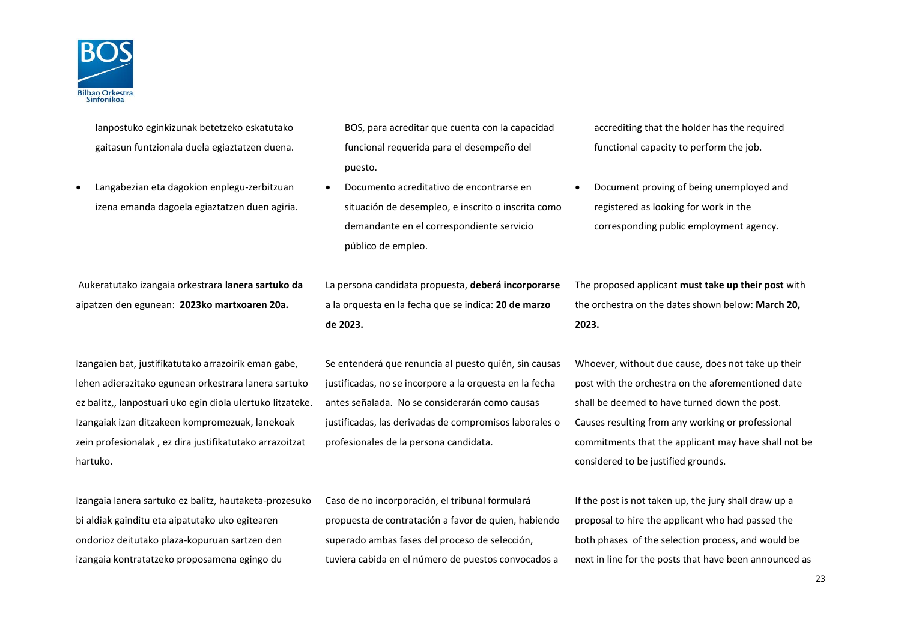

| lanpostuko eginkizunak betetzeko eskatutako<br>gaitasun funtzionala duela egiaztatzen duena.<br>Langabezian eta dagokion enplegu-zerbitzuan<br>$\bullet$<br>izena emanda dagoela egiaztatzen duen agiria.                                                                                            | BOS, para acreditar que cuenta con la capacidad<br>funcional requerida para el desempeño del<br>puesto.<br>Documento acreditativo de encontrarse en<br>$\bullet$<br>situación de desempleo, e inscrito o inscrita como<br>demandante en el correspondiente servicio<br>público de empleo. | accrediting that the holder has the required<br>functional capacity to perform the job.<br>Document proving of being unemployed and<br>$\bullet$<br>registered as looking for work in the<br>corresponding public employment agency.                                                                          |  |
|------------------------------------------------------------------------------------------------------------------------------------------------------------------------------------------------------------------------------------------------------------------------------------------------------|-------------------------------------------------------------------------------------------------------------------------------------------------------------------------------------------------------------------------------------------------------------------------------------------|---------------------------------------------------------------------------------------------------------------------------------------------------------------------------------------------------------------------------------------------------------------------------------------------------------------|--|
| Aukeratutako izangaia orkestrara lanera sartuko da<br>aipatzen den egunean: 2023ko martxoaren 20a.                                                                                                                                                                                                   | La persona candidata propuesta, deberá incorporarse<br>a la orquesta en la fecha que se indica: 20 de marzo<br>de 2023.                                                                                                                                                                   | The proposed applicant must take up their post with<br>the orchestra on the dates shown below: March 20,<br>2023.                                                                                                                                                                                             |  |
| Izangaien bat, justifikatutako arrazoirik eman gabe,<br>lehen adierazitako egunean orkestrara lanera sartuko<br>ez balitz,, lanpostuari uko egin diola ulertuko litzateke.<br>Izangaiak izan ditzakeen kompromezuak, lanekoak<br>zein profesionalak, ez dira justifikatutako arrazoitzat<br>hartuko. | Se entenderá que renuncia al puesto quién, sin causas<br>justificadas, no se incorpore a la orquesta en la fecha<br>antes señalada. No se considerarán como causas<br>justificadas, las derivadas de compromisos laborales o<br>profesionales de la persona candidata.                    | Whoever, without due cause, does not take up their<br>post with the orchestra on the aforementioned date<br>shall be deemed to have turned down the post.<br>Causes resulting from any working or professional<br>commitments that the applicant may have shall not be<br>considered to be justified grounds. |  |
| Izangaia lanera sartuko ez balitz, hautaketa-prozesuko<br>bi aldiak gainditu eta aipatutako uko egitearen<br>ondorioz deitutako plaza-kopuruan sartzen den<br>izangaia kontratatzeko proposamena egingo du                                                                                           | Caso de no incorporación, el tribunal formulará<br>propuesta de contratación a favor de quien, habiendo<br>superado ambas fases del proceso de selección,<br>tuviera cabida en el número de puestos convocados a                                                                          | If the post is not taken up, the jury shall draw up a<br>proposal to hire the applicant who had passed the<br>both phases of the selection process, and would be<br>next in line for the posts that have been announced as                                                                                    |  |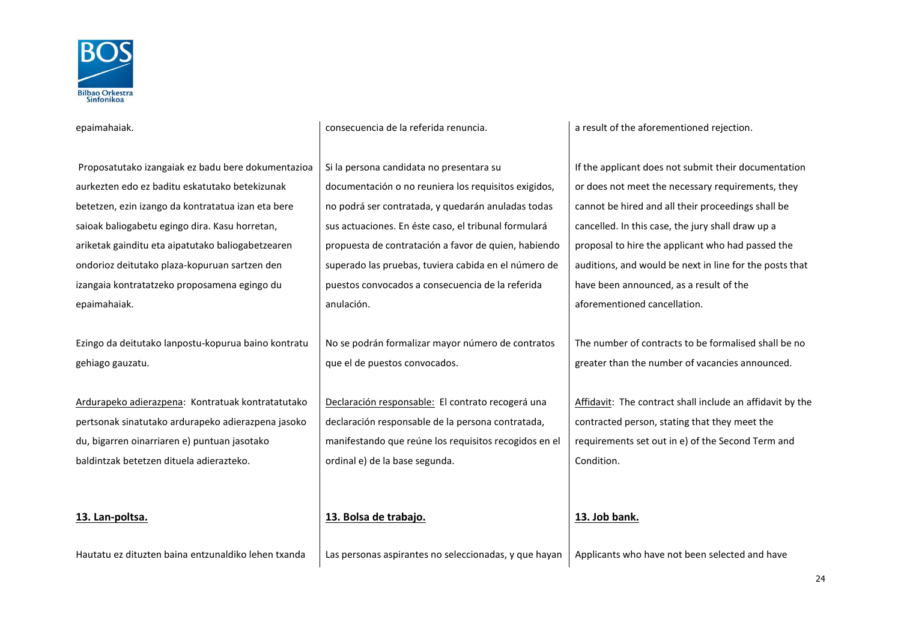

epaimahaiak. consecuencia de la referida renuncia. a result of the aforementioned rejection.

Proposatutako izangaiak ez badu bere dokumentazioa aurkezten edo ez baditu eskatutako betekizunak betetzen, ezin izango da kontratatua izan eta bere saioak baliogabetu egingo dira. Kasu horretan, ariketak gainditu eta aipatutako baliogabetzearen ondorioz deitutako plaza-kopuruan sartzen den izangaia kontratatzeko proposamena egingo du epaimahaiak. Si la persona candidata no presentara su documentación o no reuniera los requisitos exigidos, no podrá ser contratada, y quedarán anuladas todas sus actuaciones. En éste caso, el tribunal formulará propuesta de contratación a favor de quien, habiendo superado las pruebas, tuviera cabida en el número de puestos convocados a consecuencia de la referida anulación. If the applicant does not submit their documentation or does not meet the necessary requirements, they cannot be hired and all their proceedings shall be cancelled. In this case, the jury shall draw up a proposal to hire the applicant who had passed the auditions, and would be next in line for the posts that have been announced, as a result of the aforementioned cancellation. Ezingo da deitutako lanpostu-kopurua baino kontratu gehiago gauzatu. No se podrán formalizar mayor número de contratos que el de puestos convocados. The number of contracts to be formalised shall be no greater than the number of vacancies announced. Ardurapeko adierazpena: Kontratuak kontratatutako pertsonak sinatutako ardurapeko adierazpena jasoko du, bigarren oinarriaren e) puntuan jasotako baldintzak betetzen dituela adierazteko. Declaración responsable: El contrato recogerá una declaración responsable de la persona contratada, manifestando que reúne los requisitos recogidos en el ordinal e) de la base segunda. Affidavit: The contract shall include an affidavit by the contracted person, stating that they meet the requirements set out in e) of the Second Term and Condition. **13. Lan-poltsa. 13. Bolsa de trabajo. 13. Job bank.** Hautatu ez dituzten baina entzunaldiko lehen txanda | Las personas aspirantes no seleccionadas, y que hayan | Applicants who have not been selected and have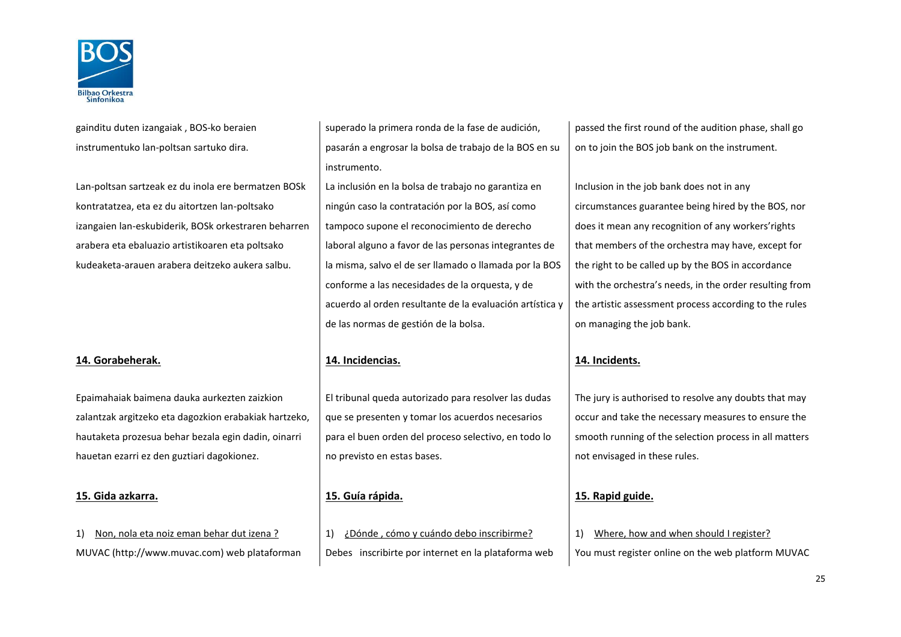

gainditu duten izangaiak , BOS-ko beraien instrumentuko lan-poltsan sartuko dira.

Lan-poltsan sartzeak ez du inola ere bermatzen BOSk kontratatzea, eta ez du aitortzen lan-poltsako izangaien lan-eskubiderik, BOSk orkestraren beharren arabera eta ebaluazio artistikoaren eta poltsako kudeaketa-arauen arabera deitzeko aukera salbu.

## **14. Gorabeherak. 14. Incidencias. 14. Incidents.**

Epaimahaiak baimena dauka aurkezten zaizkion zalantzak argitzeko eta dagozkion erabakiak hartzeko, hautaketa prozesua behar bezala egin dadin, oinarri hauetan ezarri ez den guztiari dagokionez.

## **15. Gida azkarra. 15. Guía rápida. 15. Rapid guide.**

superado la primera ronda de la fase de audición, pasarán a engrosar la bolsa de trabajo de la BOS en su instrumento.

La inclusión en la bolsa de trabajo no garantiza en ningún caso la contratación por la BOS, así como tampoco supone el reconocimiento de derecho laboral alguno a favor de las personas integrantes de la misma, salvo el de ser llamado o llamada por la BOS conforme a las necesidades de la orquesta, y de acuerdo al orden resultante de la evaluación artística y de las normas de gestión de la bolsa.

El tribunal queda autorizado para resolver las dudas que se presenten y tomar los acuerdos necesarios para el buen orden del proceso selectivo, en todo lo no previsto en estas bases.

1) Non, nola eta noiz eman behar dut izena ? 1) ¿Dónde , cómo y cuándo debo inscribirme? 1) Where, how and when should I register? MUVAC (http://www.muvac.com) web plataforman | Debes inscribirte por internet en la plataforma web | You must register online on the web platform MUVAC

passed the first round of the audition phase, shall go on to join the BOS job bank on the instrument.

Inclusion in the job bank does not in any circumstances guarantee being hired by the BOS, nor does it mean any recognition of any workers'rights that members of the orchestra may have, except for the right to be called up by the BOS in accordance with the orchestra's needs, in the order resulting from the artistic assessment process according to the rules on managing the job bank.

The jury is authorised to resolve any doubts that may occur and take the necessary measures to ensure the smooth running of the selection process in all matters not envisaged in these rules.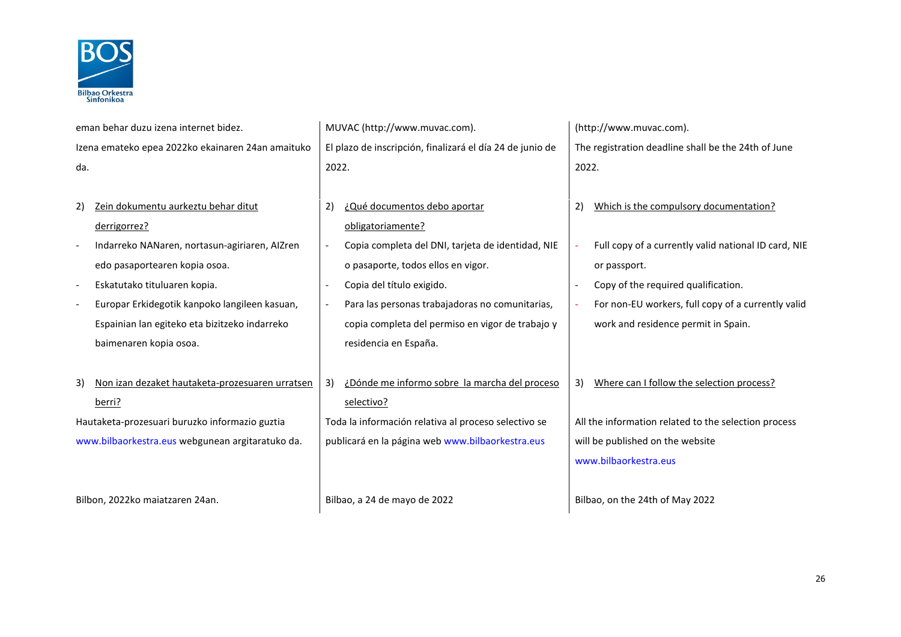

|                                                  | eman behar duzu izena internet bidez.             |                                                  | MUVAC (http://www.muvac.com).                             | (http://www.muvac.com).                             |                                                      |
|--------------------------------------------------|---------------------------------------------------|--------------------------------------------------|-----------------------------------------------------------|-----------------------------------------------------|------------------------------------------------------|
|                                                  | Izena emateko epea 2022ko ekainaren 24an amaituko |                                                  | El plazo de inscripción, finalizará el día 24 de junio de | The registration deadline shall be the 24th of June |                                                      |
| da.                                              |                                                   | 2022.                                            |                                                           | 2022.                                               |                                                      |
|                                                  |                                                   |                                                  |                                                           |                                                     |                                                      |
| 2)                                               | Zein dokumentu aurkeztu behar ditut               | 2)                                               | ¿Qué documentos debo aportar                              |                                                     | Which is the compulsory documentation?               |
|                                                  | derrigorrez?                                      |                                                  | obligatoriamente?                                         |                                                     |                                                      |
|                                                  | Indarreko NANaren, nortasun-agiriaren, AIZren     |                                                  | Copia completa del DNI, tarjeta de identidad, NIE         |                                                     | Full copy of a currently valid national ID card, NIE |
|                                                  | edo pasaportearen kopia osoa.                     |                                                  | o pasaporte, todos ellos en vigor.                        |                                                     | or passport.                                         |
|                                                  | Eskatutako tituluaren kopia.                      |                                                  | Copia del título exigido.                                 |                                                     | Copy of the required qualification.                  |
|                                                  | Europar Erkidegotik kanpoko langileen kasuan,     |                                                  | Para las personas trabajadoras no comunitarias,           |                                                     | For non-EU workers, full copy of a currently valid   |
|                                                  | Espainian lan egiteko eta bizitzeko indarreko     |                                                  | copia completa del permiso en vigor de trabajo y          |                                                     | work and residence permit in Spain.                  |
|                                                  | baimenaren kopia osoa.                            |                                                  | residencia en España.                                     |                                                     |                                                      |
|                                                  |                                                   |                                                  |                                                           |                                                     |                                                      |
| 3)                                               | Non izan dezaket hautaketa-prozesuaren urratsen   | 3)                                               | ¿Dónde me informo sobre la marcha del proceso             |                                                     | 3) Where can I follow the selection process?         |
|                                                  | berri?                                            |                                                  | selectivo?                                                |                                                     |                                                      |
|                                                  | Hautaketa-prozesuari buruzko informazio guztia    |                                                  | Toda la información relativa al proceso selectivo se      |                                                     | All the information related to the selection process |
| www.bilbaorkestra.eus webgunean argitaratuko da. |                                                   | publicará en la página web www.bilbaorkestra.eus |                                                           | will be published on the website                    |                                                      |
|                                                  |                                                   |                                                  |                                                           |                                                     | www.bilbaorkestra.eus                                |
|                                                  |                                                   |                                                  |                                                           |                                                     |                                                      |
|                                                  | Bilbon, 2022ko maiatzaren 24an.                   |                                                  | Bilbao, a 24 de mayo de 2022                              |                                                     | Bilbao, on the 24th of May 2022                      |
|                                                  |                                                   |                                                  |                                                           |                                                     |                                                      |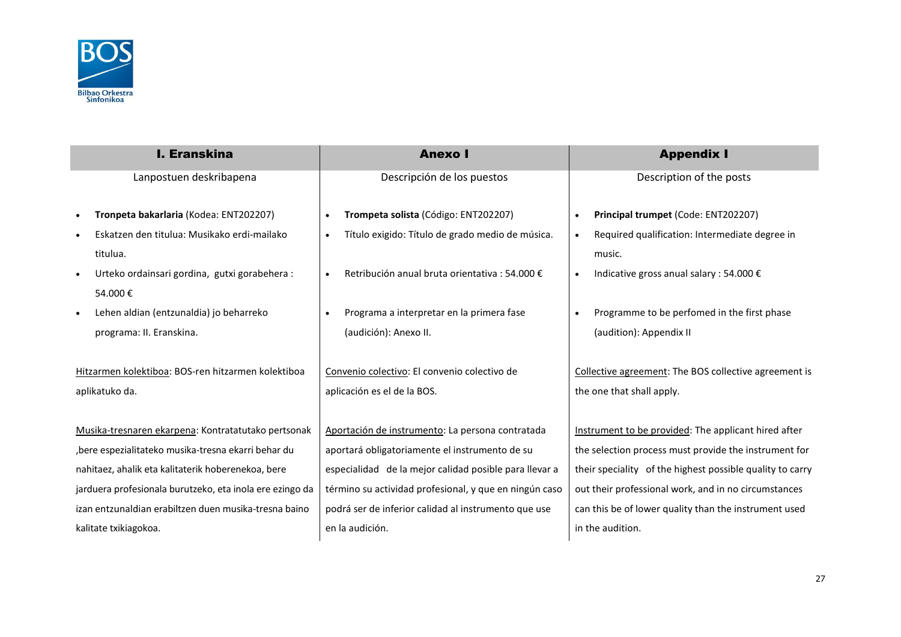

| <b>I. Eranskina</b>                                        | <b>Anexo</b> I                                                | <b>Appendix I</b>                                           |
|------------------------------------------------------------|---------------------------------------------------------------|-------------------------------------------------------------|
| Lanpostuen deskribapena                                    | Descripción de los puestos                                    | Description of the posts                                    |
| Tronpeta bakarlaria (Kodea: ENT202207)                     | Trompeta solista (Código: ENT202207)<br>$\bullet$             | Principal trumpet (Code: ENT202207)<br>$\bullet$            |
| Eskatzen den titulua: Musikako erdi-mailako                | Título exigido: Título de grado medio de música.<br>$\bullet$ | Required qualification: Intermediate degree in<br>$\bullet$ |
| titulua.                                                   |                                                               | music.                                                      |
| Urteko ordainsari gordina, gutxi gorabehera :<br>$\bullet$ | Retribución anual bruta orientativa : 54.000 €<br>$\bullet$   | Indicative gross anual salary : 54.000 €<br>$\bullet$       |
| 54.000€                                                    |                                                               |                                                             |
| Lehen aldian (entzunaldia) jo beharreko<br>$\bullet$       | Programa a interpretar en la primera fase<br>$\bullet$        | Programme to be perfomed in the first phase<br>$\bullet$    |
| programa: II. Eranskina.                                   | (audición): Anexo II.                                         | (audition): Appendix II                                     |
|                                                            |                                                               |                                                             |
| Hitzarmen kolektiboa: BOS-ren hitzarmen kolektiboa         | Convenio colectivo: El convenio colectivo de                  | Collective agreement: The BOS collective agreement is       |
| aplikatuko da.                                             | aplicación es el de la BOS.                                   | the one that shall apply.                                   |
|                                                            |                                                               |                                                             |
| Musika-tresnaren ekarpena: Kontratatutako pertsonak        | Aportación de instrumento: La persona contratada              | Instrument to be provided: The applicant hired after        |
| , bere espezialitateko musika-tresna ekarri behar du       | aportará obligatoriamente el instrumento de su                | the selection process must provide the instrument for       |
| nahitaez, ahalik eta kalitaterik hoberenekoa, bere         | especialidad de la mejor calidad posible para llevar a        | their speciality of the highest possible quality to carry   |
| jarduera profesionala burutzeko, eta inola ere ezingo da   | término su actividad profesional, y que en ningún caso        | out their professional work, and in no circumstances        |
| izan entzunaldian erabiltzen duen musika-tresna baino      | podrá ser de inferior calidad al instrumento que use          | can this be of lower quality than the instrument used       |
| kalitate txikiagokoa.                                      | en la audición.                                               | in the audition.                                            |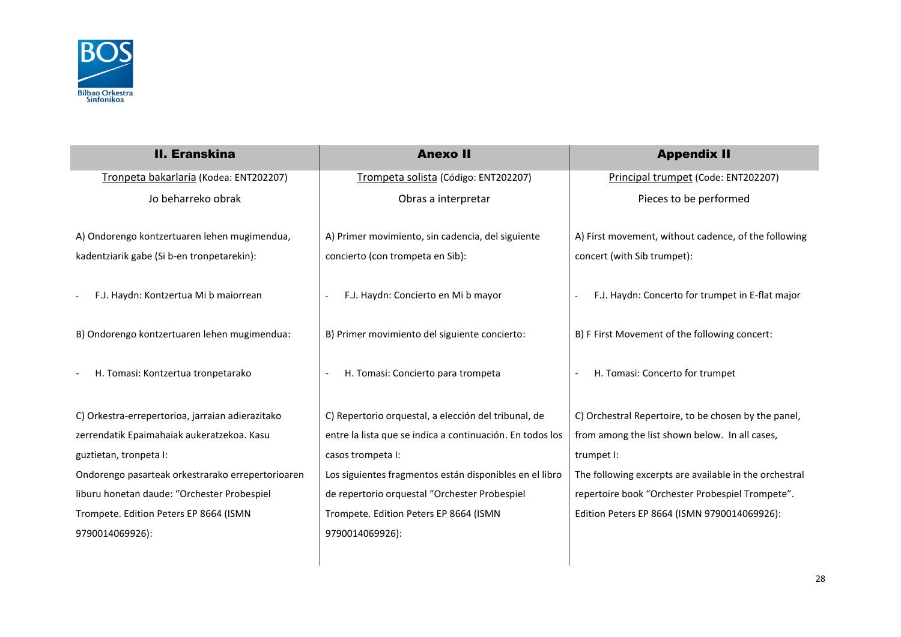

| <b>II. Eranskina</b>                              | <b>Anexo II</b>                                           | <b>Appendix II</b>                                     |
|---------------------------------------------------|-----------------------------------------------------------|--------------------------------------------------------|
| Tronpeta bakarlaria (Kodea: ENT202207)            | Trompeta solista (Código: ENT202207)                      | Principal trumpet (Code: ENT202207)                    |
| Jo beharreko obrak                                | Obras a interpretar                                       | Pieces to be performed                                 |
| A) Ondorengo kontzertuaren lehen mugimendua,      | A) Primer movimiento, sin cadencia, del siguiente         | A) First movement, without cadence, of the following   |
| kadentziarik gabe (Si b-en tronpetarekin):        | concierto (con trompeta en Sib):                          | concert (with Sib trumpet):                            |
| F.J. Haydn: Kontzertua Mi b maiorrean             | F.J. Haydn: Concierto en Mi b mayor                       | F.J. Haydn: Concerto for trumpet in E-flat major       |
| B) Ondorengo kontzertuaren lehen mugimendua:      | B) Primer movimiento del siguiente concierto:             | B) F First Movement of the following concert:          |
| H. Tomasi: Kontzertua tronpetarako                | H. Tomasi: Concierto para trompeta                        | H. Tomasi: Concerto for trumpet                        |
| C) Orkestra-errepertorioa, jarraian adierazitako  | C) Repertorio orquestal, a elección del tribunal, de      | C) Orchestral Repertoire, to be chosen by the panel,   |
| zerrendatik Epaimahaiak aukeratzekoa. Kasu        | entre la lista que se indica a continuación. En todos los | from among the list shown below. In all cases,         |
| guztietan, tronpeta I:                            | casos trompeta I:                                         | trumpet I:                                             |
| Ondorengo pasarteak orkestrarako errepertorioaren | Los siguientes fragmentos están disponibles en el libro   | The following excerpts are available in the orchestral |
| liburu honetan daude: "Orchester Probespiel       | de repertorio orquestal "Orchester Probespiel             | repertoire book "Orchester Probespiel Trompete".       |
| Trompete. Edition Peters EP 8664 (ISMN            | Trompete. Edition Peters EP 8664 (ISMN                    | Edition Peters EP 8664 (ISMN 9790014069926):           |
| 9790014069926):                                   | 9790014069926):                                           |                                                        |

 $\overline{\phantom{a}}$ 

 $\overline{\phantom{a}}$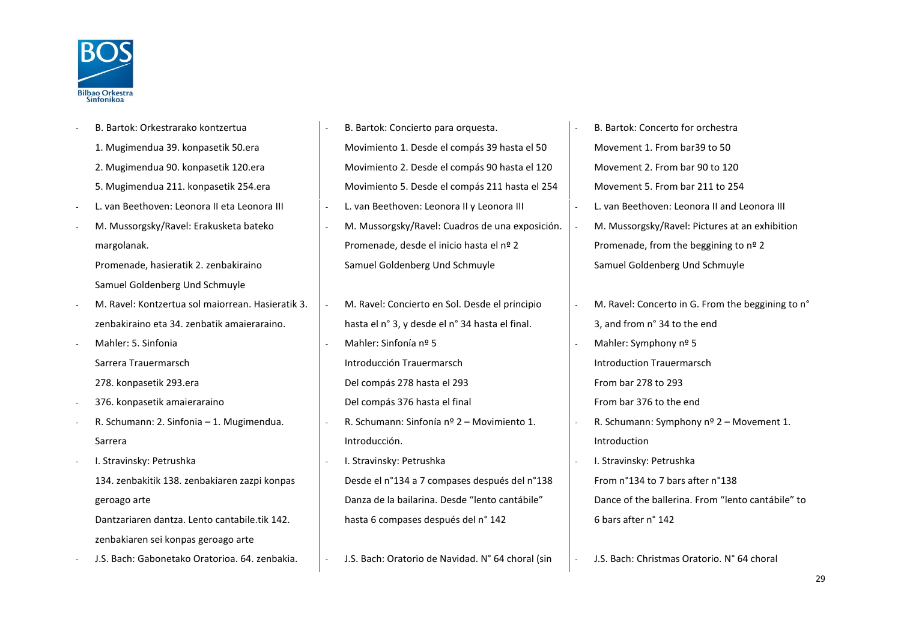

- B. Bartok: Orkestrarako kontzertua 1. Mugimendua 39. konpasetik 50.era 2. Mugimendua 90. konpasetik 120.era 5. Mugimendua 211. konpasetik 254.era
- 
- M. Mussorgsky/Ravel: Erakusketa bateko margolanak.

Promenade, hasieratik 2. zenbakiraino Samuel Goldenberg Und Schmuyle

- M. Ravel: Kontzertua sol maiorrean. Hasieratik 3. zenbakiraino eta 34. zenbatik amaieraraino.

- Mahler: 5. Sinfonia Sarrera Trauermarsch

278. konpasetik 293.era

- 376. konpasetik amaieraraino
- R. Schumann: 2. Sinfonia 1. Mugimendua. Sarrera
- I. Stravinsky: Petrushka 134. zenbakitik 138. zenbakiaren zazpi konpas geroago arte Dantzariaren dantza. Lento cantabile.tik 142.

zenbakiaren sei konpas geroago arte

- J.S. Bach: Gabonetako Oratorioa. 64. zenbakia. - J.S. Bach: Oratorio de Navidad. N° 64 choral (sin - J.S. Bach: Christmas Oratorio. N° 64 choral

B. Bartok: Concierto para orquesta. Movimiento 1. Desde el compás 39 hasta el 50 Movimiento 2. Desde el compás 90 hasta el 120 Movimiento 5. Desde el compás 211 hasta el 254 - L. van Beethoven: Leonora II eta Leonora III - L. van Beethoven: Leonora II y Leonora III - L. van Beethoven: Leonora II and Leonora III - M. Mussorgsky/Ravel: Cuadros de una exposición. Promenade, desde el inicio hasta el nº 2 Samuel Goldenberg Und Schmuyle

> - M. Ravel: Concierto en Sol. Desde el principio hasta el n° 3, y desde el n° 34 hasta el final. - Mahler: Sinfonía nº 5 Introducción Trauermarsch Del compás 278 hasta el 293 Del compás 376 hasta el final - R. Schumann: Sinfonía nº 2 – Movimiento 1. Introducción. I. Stravinsky: Petrushka

Desde el n°134 a 7 compases después del n°138 Danza de la bailarina. Desde "lento cantábile" hasta 6 compases después del n° 142

- B. Bartok: Concerto for orchestra Movement 1. From bar39 to 50 Movement 2. From bar 90 to 120 Movement 5. From bar 211 to 254 M. Mussorgsky/Ravel: Pictures at an exhibition Promenade, from the beggining to nº 2 Samuel Goldenberg Und Schmuyle
- M. Ravel: Concerto in G. From the beggining to n° 3, and from n° 34 to the end
- Mahler: Symphony  $n^{\circ}$  5 Introduction Trauermarsch From bar 278 to 293

From bar 376 to the end

- R. Schumann: Symphony nº 2 – Movement 1. Introduction

- I. Stravinsky: Petrushka From n°134 to 7 bars after n°138 Dance of the ballerina. From "lento cantábile" to 6 bars after n° 142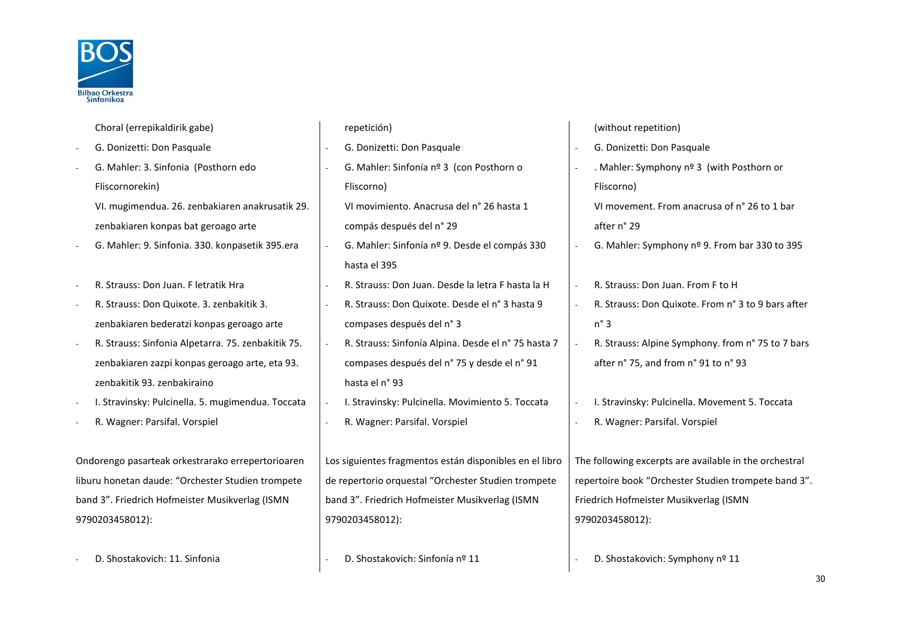

|        | Choral (errepikaldirik gabe)                       |                          | repetición)                                             |                          | (without repetition)                                   |
|--------|----------------------------------------------------|--------------------------|---------------------------------------------------------|--------------------------|--------------------------------------------------------|
|        | G. Donizetti: Don Pasquale                         | $\blacksquare$           | G. Donizetti: Don Pasquale                              |                          | G. Donizetti: Don Pasquale                             |
|        | G. Mahler: 3. Sinfonia (Posthorn edo               | $\blacksquare$           | G. Mahler: Sinfonía nº 3 (con Posthorn o                |                          | . Mahler: Symphony nº 3 (with Posthorn or              |
|        | Fliscornorekin)                                    |                          | Fliscorno)                                              |                          | Fliscorno)                                             |
|        | VI. mugimendua. 26. zenbakiaren anakrusatik 29.    |                          | VI movimiento. Anacrusa del nº 26 hasta 1               |                          | VI movement. From anacrusa of n° 26 to 1 bar           |
|        | zenbakiaren konpas bat geroago arte                |                          | compás después del n° 29                                |                          | after n° 29                                            |
|        | G. Mahler: 9. Sinfonia. 330. konpasetik 395.era    | $\overline{\phantom{a}}$ | G. Mahler: Sinfonía nº 9. Desde el compás 330           |                          | G. Mahler: Symphony nº 9. From bar 330 to 395          |
|        |                                                    |                          | hasta el 395                                            |                          |                                                        |
|        | R. Strauss: Don Juan. F letratik Hra               |                          | R. Strauss: Don Juan. Desde la letra F hasta la H       |                          | R. Strauss: Don Juan. From F to H                      |
|        | R. Strauss: Don Quixote. 3. zenbakitik 3.          |                          | R. Strauss: Don Quixote. Desde el nº 3 hasta 9          | $\overline{a}$           | R. Strauss: Don Quixote. From n° 3 to 9 bars after     |
|        | zenbakiaren bederatzi konpas geroago arte          |                          | compases después del n° 3                               |                          | $n^{\circ}$ 3                                          |
| $\sim$ | R. Strauss: Sinfonia Alpetarra. 75. zenbakitik 75. | $\overline{\phantom{a}}$ | R. Strauss: Sinfonía Alpina. Desde el nº 75 hasta 7     |                          | R. Strauss: Alpine Symphony. from n° 75 to 7 bars      |
|        | zenbakiaren zazpi konpas geroago arte, eta 93.     |                          | compases después del n° 75 y desde el n° 91             |                          | after n° 75, and from n° 91 to n° 93                   |
|        | zenbakitik 93. zenbakiraino                        |                          | hasta el nº 93                                          |                          |                                                        |
|        | I. Stravinsky: Pulcinella. 5. mugimendua. Toccata  |                          | I. Stravinsky: Pulcinella. Movimiento 5. Toccata        | $\overline{\phantom{a}}$ | I. Stravinsky: Pulcinella. Movement 5. Toccata         |
|        | R. Wagner: Parsifal. Vorspiel                      | $\sim$                   | R. Wagner: Parsifal. Vorspiel                           | $\overline{\phantom{a}}$ | R. Wagner: Parsifal. Vorspiel                          |
|        |                                                    |                          |                                                         |                          |                                                        |
|        | Ondorengo pasarteak orkestrarako errepertorioaren  |                          | Los siguientes fragmentos están disponibles en el libro |                          | The following excerpts are available in the orchestral |
|        | liburu honetan daude: "Orchester Studien trompete  |                          | de repertorio orquestal "Orchester Studien trompete     |                          | repertoire book "Orchester Studien trompete band 3".   |
|        | band 3". Friedrich Hofmeister Musikverlag (ISMN    |                          | band 3". Friedrich Hofmeister Musikverlag (ISMN         |                          | Friedrich Hofmeister Musikverlag (ISMN                 |
|        | 9790203458012):                                    |                          | 9790203458012):                                         |                          | 9790203458012):                                        |
|        |                                                    |                          |                                                         |                          |                                                        |
|        | D. Shostakovich: 11. Sinfonia                      |                          | D. Shostakovich: Sinfonía nº 11                         |                          | D. Shostakovich: Symphony nº 11                        |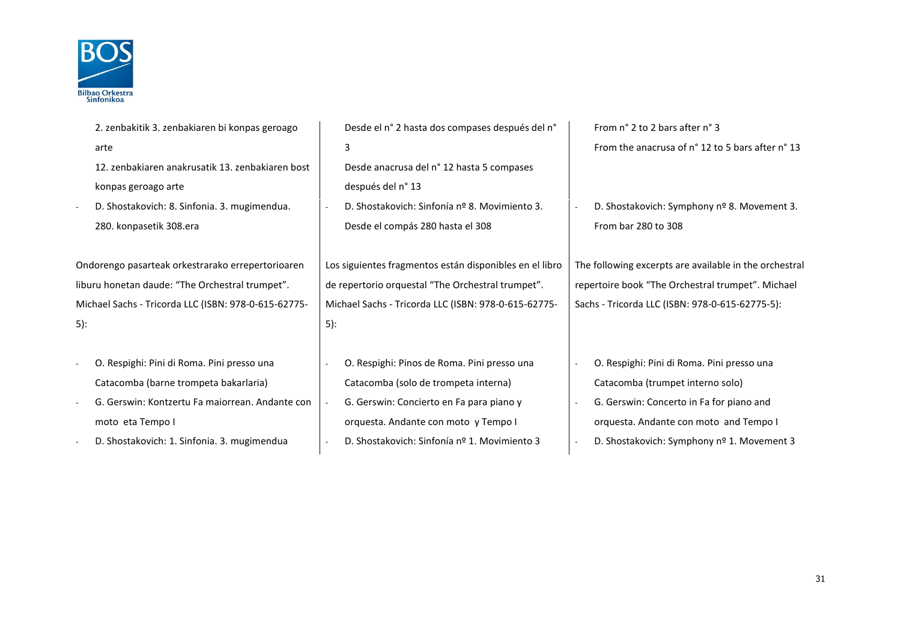

| 2. zenbakitik 3. zenbakiaren bi konpas geroago       | Desde el n° 2 hasta dos compases después del n°         | From n° 2 to 2 bars after n° 3                         |
|------------------------------------------------------|---------------------------------------------------------|--------------------------------------------------------|
| arte                                                 | 3                                                       | From the anacrusa of n° 12 to 5 bars after n° 13       |
| 12. zenbakiaren anakrusatik 13. zenbakiaren bost     | Desde anacrusa del nº 12 hasta 5 compases               |                                                        |
| konpas geroago arte                                  | después del n° 13                                       |                                                        |
| D. Shostakovich: 8. Sinfonia. 3. mugimendua.         | D. Shostakovich: Sinfonía nº 8. Movimiento 3.           | D. Shostakovich: Symphony nº 8. Movement 3.            |
| 280. konpasetik 308.era                              | Desde el compás 280 hasta el 308                        | From bar 280 to 308                                    |
|                                                      |                                                         |                                                        |
| Ondorengo pasarteak orkestrarako errepertorioaren    | Los siguientes fragmentos están disponibles en el libro | The following excerpts are available in the orchestral |
| liburu honetan daude: "The Orchestral trumpet".      | de repertorio orquestal "The Orchestral trumpet".       | repertoire book "The Orchestral trumpet". Michael      |
| Michael Sachs - Tricorda LLC (ISBN: 978-0-615-62775- | Michael Sachs - Tricorda LLC (ISBN: 978-0-615-62775-    | Sachs - Tricorda LLC (ISBN: 978-0-615-62775-5):        |
| 5):                                                  | 5):                                                     |                                                        |
|                                                      |                                                         |                                                        |
| O. Respighi: Pini di Roma. Pini presso una           | O. Respighi: Pinos de Roma. Pini presso una             | O. Respighi: Pini di Roma. Pini presso una             |
| Catacomba (barne trompeta bakarlaria)                | Catacomba (solo de trompeta interna)                    | Catacomba (trumpet interno solo)                       |
| G. Gerswin: Kontzertu Fa maiorrean. Andante con      | G. Gerswin: Concierto en Fa para piano y                | G. Gerswin: Concerto in Fa for piano and               |
| moto eta Tempo I                                     | orquesta. Andante con moto y Tempo I                    | orquesta. Andante con moto and Tempo I                 |
| D. Shostakovich: 1. Sinfonia. 3. mugimendua          | D. Shostakovich: Sinfonía nº 1. Movimiento 3            | D. Shostakovich: Symphony nº 1. Movement 3             |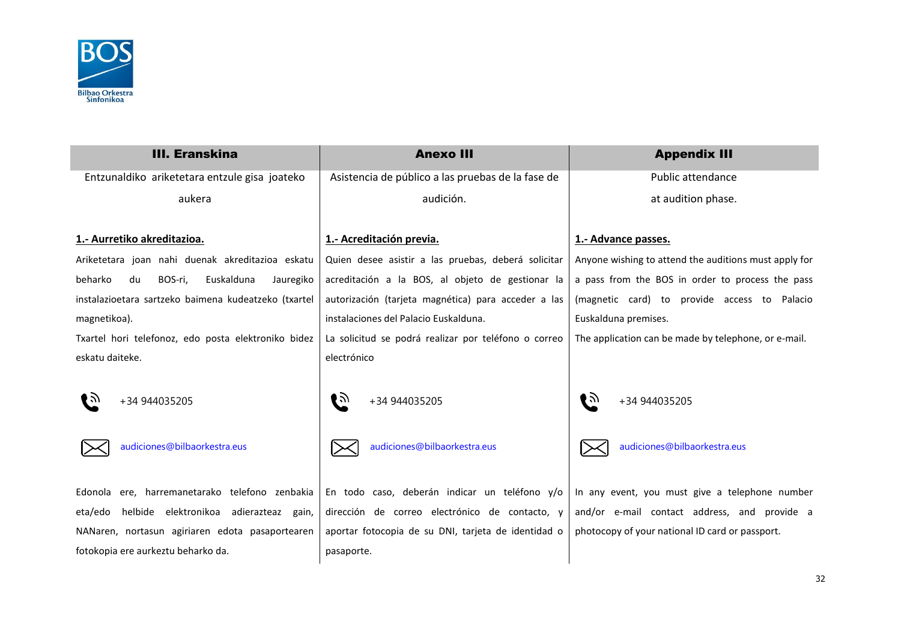

| <b>III. Eranskina</b>                                | <b>Anexo III</b>                                     | <b>Appendix III</b>                                   |
|------------------------------------------------------|------------------------------------------------------|-------------------------------------------------------|
| Entzunaldiko ariketetara entzule gisa joateko        | Asistencia de público a las pruebas de la fase de    | <b>Public attendance</b>                              |
| aukera                                               | audición.                                            | at audition phase.                                    |
| 1.- Aurretiko akreditazioa.                          | 1.- Acreditación previa.                             | 1.- Advance passes.                                   |
| Ariketetara joan nahi duenak akreditazioa eskatu     | Quien desee asistir a las pruebas, deberá solicitar  | Anyone wishing to attend the auditions must apply for |
| beharko<br>BOS-ri,<br>Euskalduna<br>du<br>Jauregiko  | acreditación a la BOS, al objeto de gestionar la     | a pass from the BOS in order to process the pass      |
| instalazioetara sartzeko baimena kudeatzeko (txartel | autorización (tarjeta magnética) para acceder a las  | (magnetic card) to provide access to Palacio          |
| magnetikoa).                                         | instalaciones del Palacio Euskalduna.                | Euskalduna premises.                                  |
| Txartel hori telefonoz, edo posta elektroniko bidez  | La solicitud se podrá realizar por teléfono o correo | The application can be made by telephone, or e-mail.  |
| eskatu daiteke.                                      | electrónico                                          |                                                       |
| ∎ਨ<br>+34 944035205                                  | ເ∌<br>+34 944035205                                  | । ৯<br>+34 944035205                                  |
| audiciones@bilbaorkestra.eus                         | audiciones@bilbaorkestra.eus                         | audiciones@bilbaorkestra.eus                          |
| Edonola ere, harremanetarako telefono zenbakia       | En todo caso, deberán indicar un teléfono y/o        | In any event, you must give a telephone number        |
| helbide elektronikoa adierazteaz gain,<br>eta/edo    | dirección de correo electrónico de contacto, y       | and/or e-mail contact address, and provide a          |
| NANaren, nortasun agiriaren edota pasaportearen      | aportar fotocopia de su DNI, tarjeta de identidad o  | photocopy of your national ID card or passport.       |
| fotokopia ere aurkeztu beharko da.                   | pasaporte.                                           |                                                       |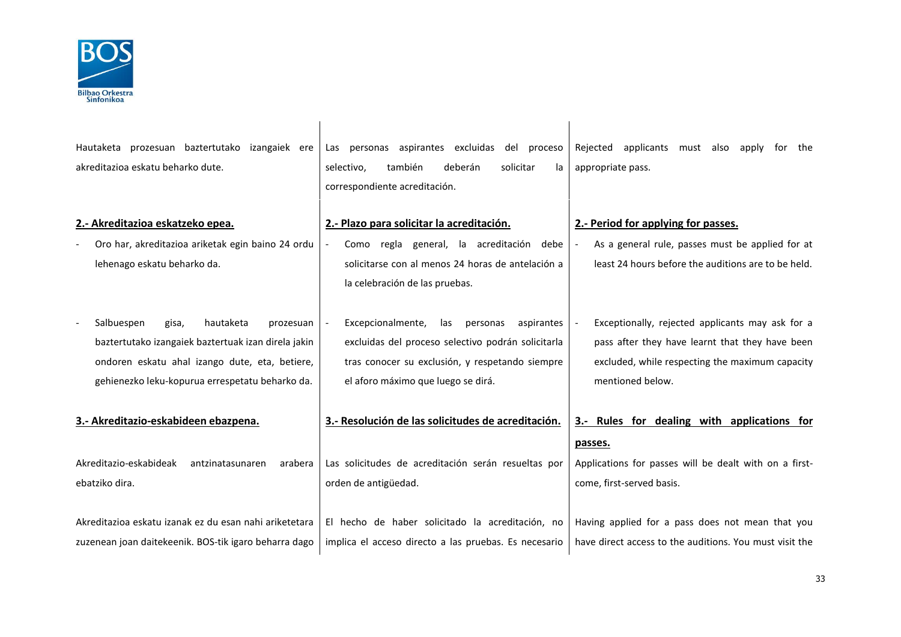

| Hautaketa prozesuan baztertutako izangaiek ere<br>akreditazioa eskatu beharko dute.                                                                                                                       | Las personas aspirantes excluidas del proceso<br>también<br>deberán<br>solicitar<br>selectivo,<br>la<br>correspondiente acreditación.                                                             | Rejected applicants must also<br>apply<br>the<br>tor<br>appropriate pass.                                                                                                  |
|-----------------------------------------------------------------------------------------------------------------------------------------------------------------------------------------------------------|---------------------------------------------------------------------------------------------------------------------------------------------------------------------------------------------------|----------------------------------------------------------------------------------------------------------------------------------------------------------------------------|
| 2.- Akreditazioa eskatzeko epea.                                                                                                                                                                          | 2.- Plazo para solicitar la acreditación.                                                                                                                                                         | 2.- Period for applying for passes.                                                                                                                                        |
| Oro har, akreditazioa ariketak egin baino 24 ordu<br>lehenago eskatu beharko da.                                                                                                                          | Como regla general, la acreditación debe<br>solicitarse con al menos 24 horas de antelación a<br>la celebración de las pruebas.                                                                   | As a general rule, passes must be applied for at<br>least 24 hours before the auditions are to be held.                                                                    |
| Salbuespen<br>hautaketa<br>gisa,<br>prozesuan<br>baztertutako izangaiek baztertuak izan direla jakin<br>ondoren eskatu ahal izango dute, eta, betiere,<br>gehienezko leku-kopurua errespetatu beharko da. | Excepcionalmente,<br>las<br>personas<br>aspirantes<br>excluidas del proceso selectivo podrán solicitarla<br>tras conocer su exclusión, y respetando siempre<br>el aforo máximo que luego se dirá. | Exceptionally, rejected applicants may ask for a<br>pass after they have learnt that they have been<br>excluded, while respecting the maximum capacity<br>mentioned below. |
| 3.- Akreditazio-eskabideen ebazpena.                                                                                                                                                                      | 3.- Resolución de las solicitudes de acreditación.                                                                                                                                                | 3.- Rules for dealing with applications for                                                                                                                                |
| Akreditazio-eskabideak<br>antzinatasunaren<br>arabera<br>ebatziko dira.                                                                                                                                   | Las solicitudes de acreditación serán resueltas por<br>orden de antigüedad.                                                                                                                       | passes.<br>Applications for passes will be dealt with on a first-<br>come, first-served basis.                                                                             |
| Akreditazioa eskatu izanak ez du esan nahi ariketetara<br>zuzenean joan daitekeenik. BOS-tik igaro beharra dago                                                                                           | El hecho de haber solicitado la acreditación, no<br>implica el acceso directo a las pruebas. Es necesario                                                                                         | Having applied for a pass does not mean that you<br>have direct access to the auditions. You must visit the                                                                |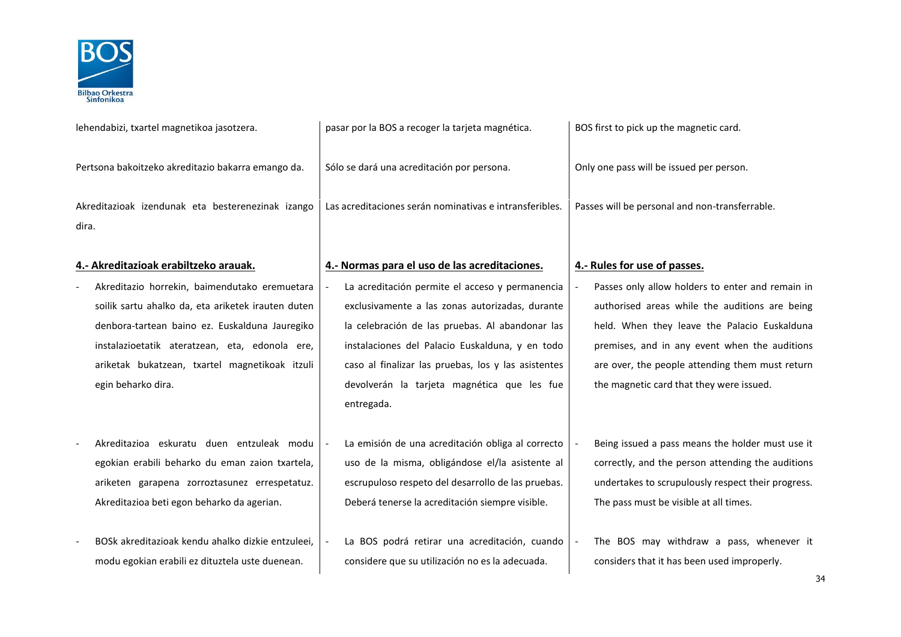

| lehendabizi, txartel magnetikoa jasotzera.                                                                                                                                                                                                                                      | pasar por la BOS a recoger la tarjeta magnética.                                                                                                                                                                                                                                                                             | BOS first to pick up the magnetic card.                                                                                                                                                                                                                                                            |
|---------------------------------------------------------------------------------------------------------------------------------------------------------------------------------------------------------------------------------------------------------------------------------|------------------------------------------------------------------------------------------------------------------------------------------------------------------------------------------------------------------------------------------------------------------------------------------------------------------------------|----------------------------------------------------------------------------------------------------------------------------------------------------------------------------------------------------------------------------------------------------------------------------------------------------|
| Pertsona bakoitzeko akreditazio bakarra emango da.                                                                                                                                                                                                                              | Sólo se dará una acreditación por persona.                                                                                                                                                                                                                                                                                   | Only one pass will be issued per person.                                                                                                                                                                                                                                                           |
| Akreditazioak izendunak eta besterenezinak izango<br>dira.                                                                                                                                                                                                                      | Las acreditaciones serán nominativas e intransferibles.                                                                                                                                                                                                                                                                      | Passes will be personal and non-transferrable.                                                                                                                                                                                                                                                     |
| 4.- Akreditazioak erabiltzeko arauak.                                                                                                                                                                                                                                           | 4.- Normas para el uso de las acreditaciones.                                                                                                                                                                                                                                                                                | 4.- Rules for use of passes.                                                                                                                                                                                                                                                                       |
| Akreditazio horrekin, baimendutako eremuetara<br>soilik sartu ahalko da, eta ariketek irauten duten<br>denbora-tartean baino ez. Euskalduna Jauregiko<br>instalazioetatik ateratzean, eta, edonola ere,<br>ariketak bukatzean, txartel magnetikoak itzuli<br>egin beharko dira. | La acreditación permite el acceso y permanencia<br>exclusivamente a las zonas autorizadas, durante<br>la celebración de las pruebas. Al abandonar las<br>instalaciones del Palacio Euskalduna, y en todo<br>caso al finalizar las pruebas, los y las asistentes<br>devolverán la tarjeta magnética que les fue<br>entregada. | Passes only allow holders to enter and remain in<br>authorised areas while the auditions are being<br>held. When they leave the Palacio Euskalduna<br>premises, and in any event when the auditions<br>are over, the people attending them must return<br>the magnetic card that they were issued. |
| Akreditazioa eskuratu duen entzuleak modu<br>egokian erabili beharko du eman zaion txartela,<br>ariketen garapena zorroztasunez errespetatuz.<br>Akreditazioa beti egon beharko da agerian.<br>BOSk akreditazioak kendu ahalko dizkie entzuleei,                                | La emisión de una acreditación obliga al correcto<br>uso de la misma, obligándose el/la asistente al<br>escrupuloso respeto del desarrollo de las pruebas.<br>Deberá tenerse la acreditación siempre visible.<br>La BOS podrá retirar una acreditación, cuando                                                               | Being issued a pass means the holder must use it<br>correctly, and the person attending the auditions<br>undertakes to scrupulously respect their progress.<br>The pass must be visible at all times.<br>The BOS may withdraw a pass, whenever it                                                  |
| modu egokian erabili ez dituztela uste duenean.                                                                                                                                                                                                                                 | considere que su utilización no es la adecuada.                                                                                                                                                                                                                                                                              | considers that it has been used improperly.                                                                                                                                                                                                                                                        |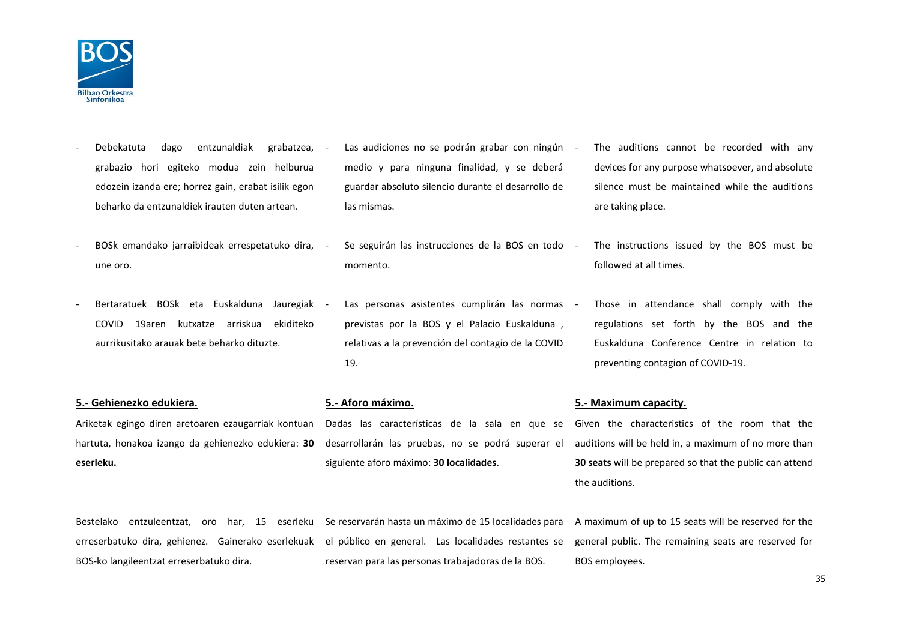

- Debekatuta dago entzunaldiak grabatzea, grabazio hori egiteko modua zein helburua edozein izanda ere; horrez gain, erabat isilik egon beharko da entzunaldiek irauten duten artean. Las audiciones no se podrán grabar con ningún medio y para ninguna finalidad, y se deberá guardar absoluto silencio durante el desarrollo de las mismas. The auditions cannot be recorded with any devices for any purpose whatsoever, and absolute silence must be maintained while the auditions are taking place. - BOSk emandako jarraibideak errespetatuko dira, une oro. Se seguirán las instrucciones de la BOS en todo momento. The instructions issued by the BOS must be followed at all times. Bertaratuek BOSk eta Euskalduna Jauregiak COVID 19aren kutxatze arriskua ekiditeko aurrikusitako arauak bete beharko dituzte. Las personas asistentes cumplirán las normas previstas por la BOS y el Palacio Euskalduna , relativas a la prevención del contagio de la COVID 19. Those in attendance shall comply with the regulations set forth by the BOS and the Euskalduna Conference Centre in relation to preventing contagion of COVID-19. **5.- Gehienezko edukiera. 5.- Aforo máximo. 5.- Maximum capacity.** Ariketak egingo diren aretoaren ezaugarriak kontuan hartuta, honakoa izango da gehienezko edukiera: **30 eserleku.** Dadas las características de la sala en que se desarrollarán las pruebas, no se podrá superar el siguiente aforo máximo: **30 localidades**. Given the characteristics of the room that the auditions will be held in, a maximum of no more than **30 seats** will be prepared so that the public can attend the auditions. Bestelako entzuleentzat, oro har, 15 eserleku erreserbatuko dira, gehienez. Gainerako eserlekuak BOS-ko langileentzat erreserbatuko dira. Se reservarán hasta un máximo de 15 localidades para el público en general. Las localidades restantes se reservan para las personas trabajadoras de la BOS. A maximum of up to 15 seats will be reserved for the general public. The remaining seats are reserved for BOS employees.